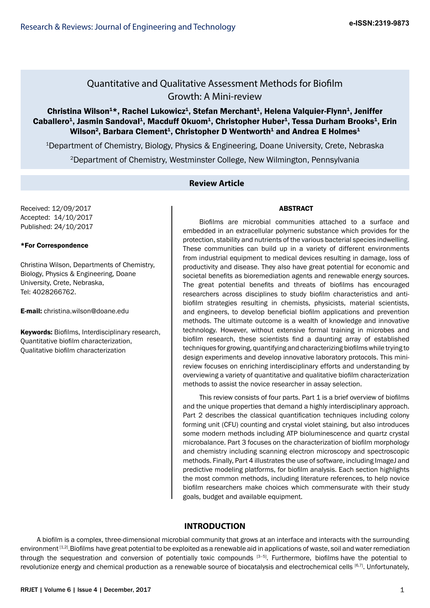## Quantitative and Qualitative Assessment Methods for Biofilm Growth: A Mini-review

## Christina Wilson<sup>1\*</sup>, Rachel Lukowicz<sup>1</sup>, Stefan Merchant<sup>1</sup>, Helena Valquier-Flynn<sup>1</sup>, Jeniffer Caballero<sup>1</sup>, Jasmin Sandoval<sup>1</sup>, Macduff Okuom<sup>1</sup>, Christopher Huber<sup>1</sup>, Tessa Durham Brooks<sup>1</sup>, Erin Wilson<sup>2</sup>, Barbara Clement<sup>1</sup>, Christopher D Wentworth<sup>1</sup> and Andrea E Holmes<sup>1</sup>

1Department of Chemistry, Biology, Physics & Engineering, Doane University, Crete, Nebraska

2Department of Chemistry, Westminster College, New Wilmington, Pennsylvania

## **Review Article**

Received: 12/09/2017 Accepted: 14/10/2017 Published: 24/10/2017

## \*For Correspondence

Christina Wilson, Departments of Chemistry, Biology, Physics & Engineering, Doane University, Crete, Nebraska, Tel: 4028266762.

E-mail: christina.wilson@doane.edu

Keywords: Biofilms, Interdisciplinary research, Quantitative biofilm characterization, Qualitative biofilm characterization

## ABSTRACT

Biofilms are microbial communities attached to a surface and embedded in an extracellular polymeric substance which provides for the protection, stability and nutrients of the various bacterial species indwelling. These communities can build up in a variety of different environments from industrial equipment to medical devices resulting in damage, loss of productivity and disease. They also have great potential for economic and societal benefits as bioremediation agents and renewable energy sources. The great potential benefits and threats of biofilms has encouraged researchers across disciplines to study biofilm characteristics and antibiofilm strategies resulting in chemists, physicists, material scientists, and engineers, to develop beneficial biofilm applications and prevention methods. The ultimate outcome is a wealth of knowledge and innovative technology. However, without extensive formal training in microbes and biofilm research, these scientists find a daunting array of established techniques for growing, quantifying and characterizing biofilms while trying to design experiments and develop innovative laboratory protocols. This minireview focuses on enriching interdisciplinary efforts and understanding by overviewing a variety of quantitative and qualitative biofilm characterization methods to assist the novice researcher in assay selection.

This review consists of four parts. Part 1 is a brief overview of biofilms and the unique properties that demand a highly interdisciplinary approach. Part 2 describes the classical quantification techniques including colony forming unit (CFU) counting and crystal violet staining, but also introduces some modern methods including ATP bioluminescence and quartz crystal microbalance. Part 3 focuses on the characterization of biofilm morphology and chemistry including scanning electron microscopy and spectroscopic methods. Finally, Part 4 illustrates the use of software, including ImageJ and predictive modeling platforms, for biofilm analysis. Each section highlights the most common methods, including literature references, to help novice biofilm researchers make choices which commensurate with their study goals, budget and available equipment.

## **INTRODUCTION**

A biofilm is a complex, three-dimensional microbial community that grows at an interface and interacts with the surrounding environment [1,2]. Biofilms have great potential to be exploited as a renewable aid in applications of waste, soil and water remediation through the sequestration and conversion of potentially toxic compounds <sup>[3–5]</sup>. Furthermore, biofilms have the potential to revolutionize energy and chemical production as a renewable source of biocatalysis and electrochemical cells [6,7]. Unfortunately,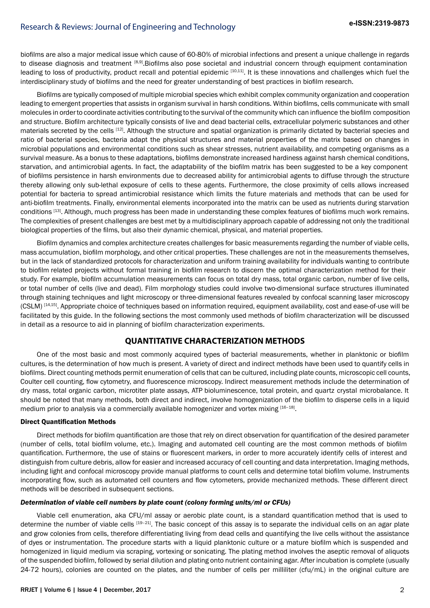biofilms are also a major medical issue which cause of 60-80% of microbial infections and present a unique challenge in regards to disease diagnosis and treatment [8,9]. Biofilms also pose societal and industrial concern through equipment contamination leading to loss of productivity, product recall and potential epidemic [10,11]. It is these innovations and challenges which fuel the interdisciplinary study of biofilms and the need for greater understanding of best practices in biofilm research.

Biofilms are typically composed of multiple microbial species which exhibit complex community organization and cooperation leading to emergent properties that assists in organism survival in harsh conditions. Within biofilms, cells communicate with small molecules in orderto coordinate activities contributing to the survival of the community which can influence the biofilm composition and structure. Biofilm architecture typically consists of live and dead bacterial cells, extracellular polymeric substances and other materials secreted by the cells [12]. Although the structure and spatial organization is primarily dictated by bacterial species and ratio of bacterial species, bacteria adapt the physical structures and material properties of the matrix based on changes in microbial populations and environmental conditions such as shear stresses, nutrient availability, and competing organisms as a survival measure. As a bonus to these adaptations, biofilms demonstrate increased hardiness against harsh chemical conditions, starvation, and antimicrobial agents. In fact, the adaptability of the biofilm matrix has been suggested to be a key component of biofilms persistence in harsh environments due to decreased ability for antimicrobial agents to diffuse through the structure thereby allowing only sub-lethal exposure of cells to these agents. Furthermore, the close proximity of cells allows increased potential for bacteria to spread antimicrobial resistance which limits the future materials and methods that can be used for anti-biofilm treatments. Finally, environmental elements incorporated into the matrix can be used as nutrients during starvation conditions [13]. Although, much progress has been made in understanding these complex features of biofilms much work remains. The complexities of present challenges are best met by a multidisciplinary approach capable of addressing not only the traditional biological properties of the films, but also their dynamic chemical, physical, and material properties.

Biofilm dynamics and complex architecture creates challenges for basic measurements regarding the number of viable cells, mass accumulation, biofilm morphology, and other critical properties. These challenges are not in the measurements themselves, but in the lack of standardized protocols for characterization and uniform training availability for individuals wanting to contribute to biofilm related projects without formal training in biofilm research to discern the optimal characterization method for their study. For example, biofilm accumulation measurements can focus on total dry mass, total organic carbon, number of live cells, or total number of cells (live and dead). Film morphology studies could involve two-dimensional surface structures illuminated through staining techniques and light microscopy or three-dimensional features revealed by confocal scanning laser microscopy (CSLM) [14,15]. Appropriate choice of techniques based on information required, equipment availability, cost and ease-of-use will be facilitated by this guide. In the following sections the most commonly used methods of biofilm characterization will be discussed in detail as a resource to aid in planning of biofilm characterization experiments.

## **QUANTITATIVE CHARACTERIZATION METHODS**

One of the most basic and most commonly acquired types of bacterial measurements, whether in planktonic or biofilm cultures, is the determination of how much is present. A variety of direct and indirect methods have been used to quantify cells in biofilms. Direct counting methods permit enumeration of cells that can be cultured, including plate counts, microscopic cell counts, Coulter cell counting, flow cytometry, and fluorescence microscopy. Indirect measurement methods include the determination of dry mass, total organic carbon, microtiter plate assays, ATP bioluminescence, total protein, and quartz crystal microbalance. It should be noted that many methods, both direct and indirect, involve homogenization of the biofilm to disperse cells in a liquid medium prior to analysis via a commercially available homogenizer and vortex mixing  $^{[16-18]}$ .

## Direct Quantification Methods

Direct methods for biofilm quantification are those that rely on direct observation for quantification of the desired parameter (number of cells, total biofilm volume, etc.). Imaging and automated cell counting are the most common methods of biofilm quantification. Furthermore, the use of stains or fluorescent markers, in order to more accurately identify cells of interest and distinguish from culture debris, allow for easier and increased accuracy of cell counting and data interpretation. Imaging methods, including light and confocal microscopy provide manual platforms to count cells and determine total biofilm volume. Instruments incorporating flow, such as automated cell counters and flow cytometers, provide mechanized methods. These different direct methods will be described in subsequent sections.

### *Determination of viable cell numbers by plate count (colony forming units/ml or CFUs)*

Viable cell enumeration, aka CFU/ml assay or aerobic plate count, is a standard quantification method that is used to determine the number of viable cells [19-21]. The basic concept of this assay is to separate the individual cells on an agar plate and grow colonies from cells, therefore differentiating living from dead cells and quantifying the live cells without the assistance of dyes or instrumentation. The procedure starts with a liquid planktonic culture or a mature biofilm which is suspended and homogenized in liquid medium via scraping, vortexing or sonicating. The plating method involves the aseptic removal of aliquots of the suspended biofilm, followed by serial dilution and plating onto nutrient containing agar. After incubation is complete (usually 24-72 hours), colonies are counted on the plates, and the number of cells per milliliter (cfu/mL) in the original culture are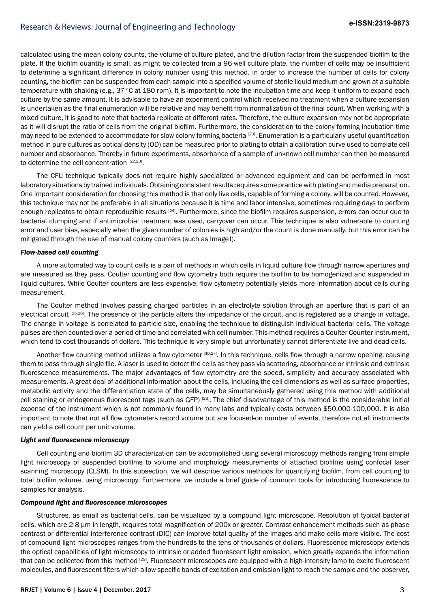calculated using the mean colony counts, the volume of culture plated, and the dilution factor from the suspended biofilm to the plate. If the biofilm quantity is small, as might be collected from a 96-well culture plate, the number of cells may be insufficient to determine a significant difference in colony number using this method. In order to increase the number of cells for colony counting, the biofilm can be suspended from each sample into a specified volume of sterile liquid medium and grown at a suitable temperature with shaking (e.g., 37°C at 180 rpm). It is important to note the incubation time and keep it uniform to expand each culture by the same amount. It is advisable to have an experiment control which received no treatment when a culture expansion is undertaken as the final enumeration will be relative and may benefit from normalization of the final count. When working with a mixed culture, it is good to note that bacteria replicate at different rates. Therefore, the culture expansion may not be appropriate as it will disrupt the ratio of cells from the original biofilm. Furthermore, the consideration to the colony forming incubation time may need to be extended to accommodate for slow colony forming bacteria <sup>[20]</sup>. Enumeration is a particularly useful quantification method in pure cultures as optical density (OD) can be measured prior to plating to obtain a calibration curve used to correlate cell number and absorbance. Thereby in future experiments, absorbance of a sample of unknown cell number can then be measured to determine the cell concentration [22,23].

The CFU technique typically does not require highly specialized or advanced equipment and can be performed in most laboratory situations by trained individuals. Obtaining consistent results requires some practice with plating and media preparation. One important consideration for choosing this method is that only live cells, capable of forming a colony, will be counted. However, this technique may not be preferable in all situations because it is time and labor intensive, sometimes requiring days to perform enough replicates to obtain reproducible results <sup>[24]</sup>. Furthermore, since the biofilm requires suspension, errors can occur due to bacterial clumping and if antimicrobial treatment was used, carryover can occur. This technique is also vulnerable to counting error and user bias, especially when the given number of colonies is high and/or the count is done manually, but this error can be mitigated through the use of manual colony counters (such as ImageJ).

## *Flow-based cell counting*

A more automated way to count cells is a pair of methods in which cells in liquid culture flow through narrow apertures and are measured as they pass. Coulter counting and flow cytometry both require the biofilm to be homogenized and suspended in liquid cultures. While Coulter counters are less expensive, flow cytometry potentially yields more information about cells during measurement.

The Coulter method involves passing charged particles in an electrolyte solution through an aperture that is part of an electrical circuit [25,26]. The presence of the particle alters the impedance of the circuit, and is registered as a change in voltage. The change in voltage is correlated to particle size, enabling the technique to distinguish individual bacterial cells. The voltage pulses are then counted over a period of time and correlated with cell number. This method requires a Coulter Counter instrument, which tend to cost thousands of dollars. This technique is very simple but unfortunately cannot differentiate live and dead cells.

Another flow counting method utilizes a flow cytometer [16,27]. In this technique, cells flow through a narrow opening, causing them to pass through single file. A laser is used to detect the cells as they pass via scattering, absorbance or intrinsic and extrinsic fluorescence measurements. The major advantages of flow cytometry are the speed, simplicity and accuracy associated with measurements. A great deal of additional information about the cells, including the cell dimensions as well as surface properties, metabolic activity and the differentiation state of the cells, may be simultaneously gathered using this method with additional cell staining or endogenous fluorescent tags (such as GFP) [28]. The chief disadvantage of this method is the considerable initial expense of the instrument which is not commonly found in many labs and typically costs between \$50,000-100,000. It is also important to note that not all flow cytometers record volume but are focused-on number of events, therefore not all instruments can yield a cell count per unit volume.

### *Light and fluorescence microscopy*

Cell counting and biofilm 3D characterization can be accomplished using several microscopy methods ranging from simple light microscopy of suspended biofilms to volume and morphology measurements of attached biofilms using confocal laser scanning microscopy (CLSM). In this subsection, we will describe various methods for quantifying biofilm, from cell counting to total biofilm volume, using microscopy. Furthermore, we include a brief guide of common tools for introducing fluorescence to samples for analysis.

## *Compound light and fluorescence microscopes*

Structures, as small as bacterial cells, can be visualized by a compound light microscope. Resolution of typical bacterial cells, which are 2-8 μm in length, requires total magnification of 200x or greater. Contrast enhancement methods such as phase contrast or differential interference contrast (DIC) can improve total quality of the images and make cells more visible. The cost of compound light microscopes ranges from the hundreds to the tens of thousands of dollars. Fluorescence microscopy extends the optical capabilities of light microscopy to intrinsic or added fluorescent light emission, which greatly expands the information that can be collected from this method <sup>[29]</sup>. Fluorescent microscopes are equipped with a high-intensity lamp to excite fluorescent molecules, and fluorescent filters which allow specific bands of excitation and emission light to reach the sample and the observer,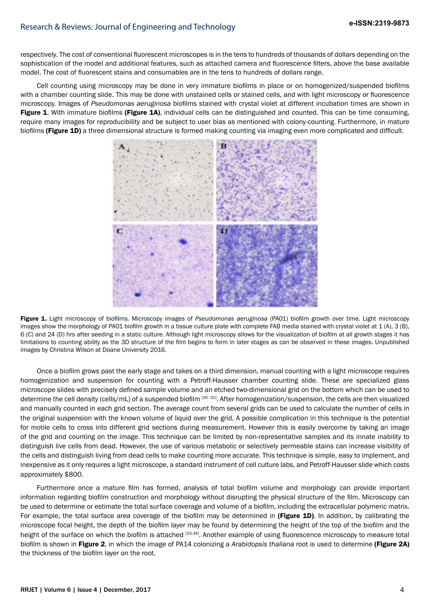respectively. The cost of conventional fluorescent microscopes is in the tens to hundreds of thousands of dollars depending on the sophistication of the model and additional features, such as attached camera and fluorescence filters, above the base available model. The cost of fluorescent stains and consumables are in the tens to hundreds of dollars range.

Cell counting using microscopy may be done in very immature biofilms in place or on homogenized/suspended biofilms with a chamber counting slide. This may be done with unstained cells or stained cells, and with light microscopy or fluorescence microscopy. Images of *Pseudomonas aeruginosa* biofilms stained with crystal violet at different incubation times are shown in Figure 1. With immature biofilms (Figure 1A), individual cells can be distinguished and counted. This can be time consuming, require many images for reproducibility and be subject to user bias as mentioned with colony-counting. Furthermore, in mature biofilms (Figure 1D) a three dimensional structure is formed making counting via imaging even more complicated and difficult.



Figure 1. Light microscopy of biofilms. Microscopy images of *Pseudomonas aeruginosa* (PA01) biofilm growth over time. Light microscopy images show the morphology of PA01 biofilm growth in a tissue culture plate with complete FAB media stained with crystal violet at 1 (A), 3 (B), 6 (C) and 24 (D) hrs after seeding in a static culture. Although light microscopy allows for the visualization of biofilm at all growth stages it has limitations to counting ability as the 3D structure of the film begins to form in later stages as can be observed in these images. Unpublished images by Christina Wilson at Doane University 2016.

Once a biofilm grows past the early stage and takes on a third dimension, manual counting with a light microscope requires homogenization and suspension for counting with a Petroff-Hausser chamber counting slide. These are specialized glass microscope slides with precisely defined sample volume and an etched two-dimensional grid on the bottom which can be used to determine the cell density (cells/mL) of a suspended biofilm [30–32]. After homogenization/suspension, the cells are then visualized and manually counted in each grid section. The average count from several grids can be used to calculate the number of cells in the original suspension with the known volume of liquid over the grid. A possible complication in this technique is the potential for motile cells to cross into different grid sections during measurement. However this is easily overcome by taking an image of the grid and counting on the image. This technique can be limited by non-representative samples and its innate inability to distinguish live cells from dead. However, the use of various metabolic or selectively permeable stains can increase visibility of the cells and distinguish living from dead cells to make counting more accurate. This technique is simple, easy to implement, and inexpensive as it only requires a light microscope, a standard instrument of cell culture labs, and Petroff-Hausser slide which costs approximately \$800.

Furthermore once a mature film has formed, analysis of total biofilm volume and morphology can provide important information regarding biofilm construction and morphology without disrupting the physical structure of the film. Microscopy can be used to determine or estimate the total surface coverage and volume of a biofilm, including the extracellular polymeric matrix. For example, the total surface area coverage of the biofilm may be determined in (Figure 1D). In addition, by calibrating the microscope focal height, the depth of the biofilm layer may be found by determining the height of the top of the biofilm and the height of the surface on which the biofilm is attached [33,34]. Another example of using fluorescence microscopy to measure total biofilm is shown in Figure 2, in which the image of PA14 colonizing a *Arabidopsis thaliana* root is used to determine (Figure 2A) the thickness of the biofilm layer on the root.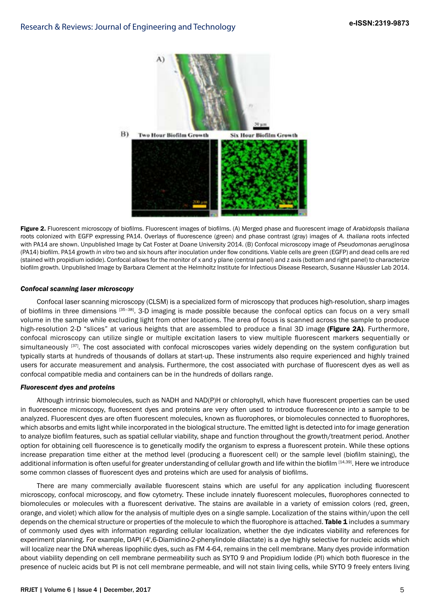

Figure 2. Fluorescent microscopy of biofilms. Fluorescent images of biofilms. (A) Merged phase and fluorescent image of *Arabidopsis thaliana*  roots colonized with EGFP expressing PA14. Overlays of fluorescence (green) and phase contrast (gray) images of *A. thaliana* roots infected with PA14 are shown. Unpublished Image by Cat Foster at Doane University 2014. (B) Confocal microscopy image of *Pseudomonas aeruginosa*  (PA14) biofilm. PA14 growth *in vitro* two and six hours after inoculation under flow conditions. Viable cells are green (EGFP) and dead cells are red (stained with propidium iodide). Confocal allows for the monitor of x and y plane (central panel) and z axis (bottom and right panel) to characterize biofilm growth. Unpublished Image by Barbara Clement at the Helmholtz Institute for Infectious Disease Research, Susanne Häussler Lab 2014.

#### *Confocal scanning laser microscopy*

Confocal laser scanning microscopy (CLSM) is a specialized form of microscopy that produces high-resolution, sharp images of biofilms in three dimensions [35–38]. 3-D imaging is made possible because the confocal optics can focus on a very small volume in the sample while excluding light from other locations. The area of focus is scanned across the sample to produce high-resolution 2-D "slices" at various heights that are assembled to produce a final 3D image (Figure 2A). Furthermore, confocal microscopy can utilize single or multiple excitation lasers to view multiple fluorescent markers sequentially or simultaneously [37]. The cost associated with confocal microscopes varies widely depending on the system configuration but typically starts at hundreds of thousands of dollars at start-up. These instruments also require experienced and highly trained users for accurate measurement and analysis. Furthermore, the cost associated with purchase of fluorescent dyes as well as confocal compatible media and containers can be in the hundreds of dollars range.

#### *Fluorescent dyes and proteins*

Although intrinsic biomolecules, such as NADH and NAD(P)H or chlorophyll, which have fluorescent properties can be used in fluorescence microscopy, fluorescent dyes and proteins are very often used to introduce fluorescence into a sample to be analyzed. Fluorescent dyes are often fluorescent molecules, known as fluorophores, or biomolecules connected to fluorophores, which absorbs and emits light while incorporated in the biological structure. The emitted light is detected into for image generation to analyze biofilm features, such as spatial cellular viability, shape and function throughout the growth/treatment period. Another option for obtaining cell fluorescence is to genetically modify the organism to express a fluorescent protein. While these options increase preparation time either at the method level (producing a fluorescent cell) or the sample level (biofilm staining), the additional information is often useful for greater understanding of cellular growth and life within the biofilm [14,39]. Here we introduce some common classes of fluorescent dyes and proteins which are used for analysis of biofilms.

There are many commercially available fluorescent stains which are useful for any application including fluorescent microscopy, confocal microscopy, and flow cytometry. These include innately fluorescent molecules, fluorophores connected to biomolecules or molecules with a fluorescent derivative. The stains are available in a variety of emission colors (red, green, orange, and violet) which allow for the analysis of multiple dyes on a single sample. Localization of the stains within/upon the cell depends on the chemical structure or properties of the molecule to which the fluorophore is attached. Table 1 includes a summary of commonly used dyes with information regarding cellular localization, whether the dye indicates viability and references for experiment planning. For example, DAPI (4',6-Diamidino-2-phenylindole dilactate) is a dye highly selective for nucleic acids which will localize near the DNA whereas lipophilic dyes, such as FM 4-64, remains in the cell membrane. Many dyes provide information about viability depending on cell membrane permeability such as SYTO 9 and Propidium Iodide (PI) which both fluoresce in the presence of nucleic acids but PI is not cell membrane permeable, and will not stain living cells, while SYTO 9 freely enters living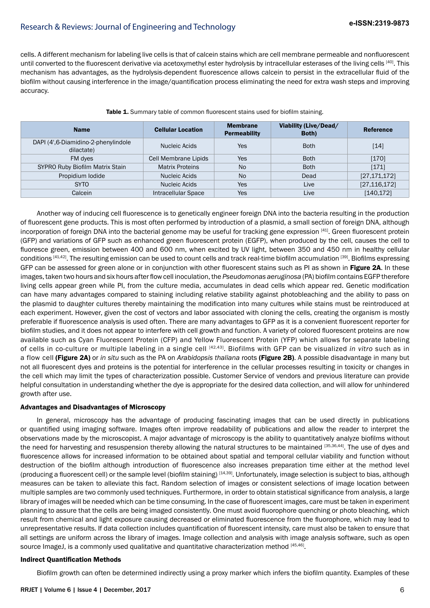cells. A different mechanism for labeling live cells is that of calcein stains which are cell membrane permeable and nonfluorescent until converted to the fluorescent derivative via acetoxymethyl ester hydrolysis by intracellular esterases of the living cells [40]. This mechanism has advantages, as the hydrolysis-dependent fluorescence allows calcein to persist in the extracellular fluid of the biofilm without causing interference in the image/quantification process eliminating the need for extra wash steps and improving accuracy.

| <b>Name</b>                                       | <b>Cellular Location</b> | <b>Membrane</b><br><b>Permeability</b> | Viability (Live/Dead/<br>Both) | <b>Reference</b> |
|---------------------------------------------------|--------------------------|----------------------------------------|--------------------------------|------------------|
| DAPI (4',6-Diamidino-2-phenylindole<br>dilactate) | Nucleic Acids            | Yes                                    | <b>Both</b>                    | [14]             |
| FM dyes                                           | Cell Membrane Lipids     | Yes                                    | <b>Both</b>                    | [170]            |
| SYPRO Ruby Biofilm Matrix Stain                   | <b>Matrix Proteins</b>   | <b>No</b>                              | <b>Both</b>                    | [171]            |
| Propidium lodide                                  | Nucleic Acids            | <b>No</b>                              | Dead                           | [27, 171, 172]   |
| <b>SYTO</b>                                       | Nucleic Acids            | <b>Yes</b>                             | Live                           | [27, 116, 172]   |
| Calcein                                           | Intracellular Space      | Yes                                    | Live                           | [140, 172]       |

Table 1. Summary table of common fluorescent stains used for biofilm staining.

Another way of inducing cell fluorescence is to genetically engineer foreign DNA into the bacteria resulting in the production of fluorescent gene products. This is most often performed by introduction of a plasmid, a small section of foreign DNA, although incorporation of foreign DNA into the bacterial genome may be useful for tracking gene expression [41]. Green fluorescent protein (GFP) and variations of GFP such as enhanced green fluorescent protein (EGFP), when produced by the cell, causes the cell to fluoresce green, emission between 400 and 600 nm, when excited by UV light, between 350 and 450 nm in healthy cellular conditions [41,42]. The resulting emission can be used to count cells and track real-time biofilm accumulation [39]. Biofilms expressing GFP can be assessed for green alone or in conjunction with other fluorescent stains such as PI as shown in Figure 2A. In these images, taken two hours and six hours after flow cell inoculation, the *Pseudomonas aeruginosa* (PA) biofilm contains EGFP therefore living cells appear green while PI, from the culture media, accumulates in dead cells which appear red. Genetic modification can have many advantages compared to staining including relative stability against photobleaching and the ability to pass on the plasmid to daughter cultures thereby maintaining the modification into many cultures while stains must be reintroduced at each experiment. However, given the cost of vectors and labor associated with cloning the cells, creating the organism is mostly preferable if fluorescence analysis is used often. There are many advantages to GFP as it is a convenient fluorescent reporter for biofilm studies, and it does not appear to interfere with cell growth and function. A variety of colored fluorescent proteins are now available such as Cyan Fluorescent Protein (CFP) and Yellow Fluorescent Protein (YFP) which allows for separate labeling of cells in co-culture or multiple labeling in a single cell [42,43]. Biofilms with GFP can be visualized *in vitro* such as in a flow cell (Figure 2A) or *in situ* such as the PA on *Arabidopsis thaliana* roots (Figure 2B). A possible disadvantage in many but not all fluorescent dyes and proteins is the potential for interference in the cellular processes resulting in toxicity or changes in the cell which may limit the types of characterization possible. Customer Service of vendors and previous literature can provide helpful consultation in understanding whether the dye is appropriate for the desired data collection, and will allow for unhindered growth after use.

## Advantages and Disadvantages of Microscopy

In general, microscopy has the advantage of producing fascinating images that can be used directly in publications or quantified using imaging software. Images often improve readability of publications and allow the reader to interpret the observations made by the microscopist. A major advantage of microscopy is the ability to quantitatively analyze biofilms without the need for harvesting and resuspension thereby allowing the natural structures to be maintained [35,36,44]. The use of dves and fluorescence allows for increased information to be obtained about spatial and temporal cellular viability and function without destruction of the biofilm although introduction of fluorescence also increases preparation time either at the method level (producing a fluorescent cell) or the sample level (biofilm staining) [14,39]. Unfortunately, image selection is subject to bias, although measures can be taken to alleviate this fact. Random selection of images or consistent selections of image location between multiple samples are two commonly used techniques. Furthermore, in order to obtain statistical significance from analysis, a large library of images will be needed which can be time consuming. In the case of fluorescent images, care must be taken in experiment planning to assure that the cells are being imaged consistently. One must avoid fluorophore quenching or photo bleaching, which result from chemical and light exposure causing decreased or eliminated fluorescence from the fluorophore, which may lead to unrepresentative results. If data collection includes quantification of fluorescent intensity, care must also be taken to ensure that all settings are uniform across the library of images. Image collection and analysis with image analysis software, such as open source ImageJ, is a commonly used qualitative and quantitative characterization method [45,46].

## Indirect Quantification Methods

Biofilm growth can often be determined indirectly using a proxy marker which infers the biofilm quantity. Examples of these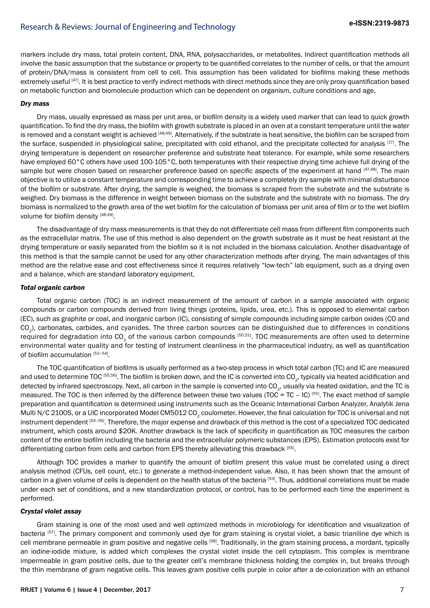markers include dry mass, total protein content, DNA, RNA, polysaccharides, or metabolites. Indirect quantification methods all involve the basic assumption that the substance or property to be quantified correlates to the number of cells, or that the amount of protein/DNA/mass is consistent from cell to cell. This assumption has been validated for biofilms making these methods extremely useful <sup>[47]</sup>. It is best practice to verify indirect methods with direct methods since they are only proxy quantification based on metabolic function and biomolecule production which can be dependent on organism, culture conditions and age.

#### *Dry mass*

Dry mass, usually expressed as mass per unit area, or biofilm density is a widely used marker that can lead to quick growth quantification. To find the dry mass, the biofilm with growth substrate is placed in an oven at a constant temperature until the water is removed and a constant weight is achieved [48,49]. Alternatively, if the substrate is heat sensitive, the biofilm can be scraped from the surface, suspended in physiological saline, precipitated with cold ethanol, and the precipitate collected for analysis [17]. The drying temperature is dependent on researcher preference and substrate heat tolerance. For example, while some researchers have employed 60°C others have used 100-105°C, both temperatures with their respective drying time achieve full drying of the sample but were chosen based on researcher preference based on specific aspects of the experiment at hand [47,48]. The main objective is to utilize a constant temperature and corresponding time to achieve a completely dry sample with minimal disturbance of the biofilm or substrate. After drying, the sample is weighed, the biomass is scraped from the substrate and the substrate is weighed. Dry biomass is the difference in weight between biomass on the substrate and the substrate with no biomass. The dry biomass is normalized to the growth area of the wet biofilm for the calculation of biomass per unit area of film or to the wet biofilm volume for biofilm density [48,49].

The disadvantage of dry mass measurements is that they do not differentiate cell mass from different film components such as the extracellular matrix. The use of this method is also dependent on the growth substrate as it must be heat resistant at the drying temperature or easily separated from the biofilm so it is not included in the biomass calculation. Another disadvantage of this method is that the sample cannot be used for any other characterization methods after drying. The main advantages of this method are the relative ease and cost effectiveness since it requires relatively "low-tech" lab equipment, such as a drying oven and a balance, which are standard laboratory equipment.

#### *Total organic carbon*

Total organic carbon (TOC) is an indirect measurement of the amount of carbon in a sample associated with organic compounds or carbon compounds derived from living things (proteins, lipids, urea, etc.). This is opposed to elemental carbon (EC), such as graphite or coal, and inorganic carbon (IC), consisting of simple compounds including simple carbon oxides (CO and CO<sub>2</sub>), carbonates, carbides, and cyanides. The three carbon sources can be distinguished due to differences in conditions required for degradation into  $CO<sub>2</sub>$  of the various carbon compounds [50,51]. TOC measurements are often used to determine environmental water quality and for testing of instrument cleanliness in the pharmaceutical industry, as well as quantification of biofilm accumulation [52–54].

The TOC quantification of biofilms is usually performed as a two-step process in which total carbon (TC) and IC are measured and used to determine TOC [55,56]. The biofilm is broken down, and the IC is converted into CO<sub>2</sub>, typically via heated acidification and detected by infrared spectroscopy. Next, all carbon in the sample is converted into CO<sub>2</sub>, usually via heated oxidation, and the TC is measured. The TOC is then inferred by the difference between these two values (TOC = TC - IC) [55]. The exact method of sample preparation and quantification is determined using instruments such as the Oceanic International Carbon Analyzer, Analytik Jena Multi N/C 2100S, or a UIC incorporated Model CM5012 CO<sub>2</sub> coulometer. However, the final calculation for TOC is universal and not instrument dependent [54-56]. Therefore, the major expense and drawback of this method is the cost of a specialized TOC dedicated instrument, which costs around \$20K. Another drawback is the lack of specificity in quantification as TOC measures the carbon content of the entire biofilm including the bacteria and the extracellular polymeric substances (EPS). Estimation protocols exist for differentiating carbon from cells and carbon from EPS thereby alleviating this drawback [55].

Although TOC provides a marker to quantify the amount of biofilm present this value must be correlated using a direct analysis method (CFUs, cell count, etc.) to generate a method-independent value. Also, it has been shown that the amount of carbon in a given volume of cells is dependent on the health status of the bacteria [53]. Thus, additional correlations must be made under each set of conditions, and a new standardization protocol, or control, has to be performed each time the experiment is performed.

## *Crystal violet assay*

Gram staining is one of the most used and well optimized methods in microbiology for identification and visualization of bacteria [57]. The primary component and commonly used dye for gram staining is crystal violet, a basic trianiline dye which is cell membrane permeable in gram positive and negative cells [58]. Traditionally, in the gram staining process, a mordant, typically an iodine-iodide mixture, is added which complexes the crystal violet inside the cell cytoplasm. This complex is membrane impermeable in gram positive cells, due to the greater cell's membrane thickness holding the complex in, but breaks through the thin membrane of gram negative cells. This leaves gram positive cells purple in color after a de-colorization with an ethanol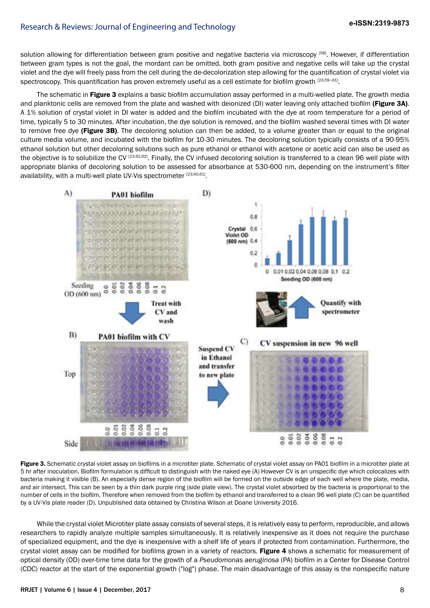solution allowing for differentiation between gram positive and negative bacteria via microscopy <sup>[58]</sup>. However, if differentiation between gram types is not the goal, the mordant can be omitted, both gram positive and negative cells will take up the crystal violet and the dye will freely pass from the cell during the de-decolorization step allowing for the quantification of crystal violet via spectroscopy. This quantification has proven extremely useful as a cell estimate for biofilm growth [23,59-61].

The schematic in Figure 3 explains a basic biofilm accumulation assay performed in a multi-welled plate. The growth media and planktonic cells are removed from the plate and washed with deionized (DI) water leaving only attached biofilm (Figure 3A). A 1% solution of crystal violet in DI water is added and the biofilm incubated with the dye at room temperature for a period of time, typically 5 to 30 minutes. After incubation, the dye solution is removed, and the biofilm washed several times with DI water to remove free dye (Figure 3B). The decoloring solution can then be added, to a volume greater than or equal to the original culture media volume, and incubated with the biofilm for 10-30 minutes. The decoloring solution typically consists of a 90-95% ethanol solution but other decoloring solutions such as pure ethanol or ethanol with acetone or acetic acid can also be used as the objective is to solubilize the CV [23,61,62]. Finally, the CV infused decoloring solution is transferred to a clean 96 well plate with appropriate blanks of decoloring solution to be assessed for absorbance at 530-600 nm, depending on the instrument's filter availability, with a multi-well plate UV-Vis spectrometer [23,60,61].



Figure 3. Schematic crystal violet assay on biofilms in a microtiter plate. Schematic of crystal violet assay on PA01 biofilm in a microtiter plate at 5 hr after inoculation. Biofilm formulation is difficult to distinguish with the naked eye (A) However CV is an unspecific dye which colocalizes with bacteria making it visible (B). An especially dense region of the biofilm will be formed on the outside edge of each well where the plate, media, and air intersect. This can be seen by a thin dark purple ring (side plate view). The crystal violet absorbed by the bacteria is proportional to the number of cells in the biofilm. Therefore when removed from the biofilm by ethanol and transferred to a clean 96 well plate (C) can be quantified by a UV-Vis plate reader (D). Unpublished data obtained by Christina Wilson at Doane University 2016.

While the crystal violet Microtiter plate assay consists of several steps, it is relatively easy to perform, reproducible, and allows researchers to rapidly analyze multiple samples simultaneously. It is relatively inexpensive as it does not require the purchase of specialized equipment, and the dye is inexpensive with a shelf life of years if protected from contamination. Furthermore, the crystal violet assay can be modified for biofilms grown in a variety of reactors. Figure 4 shows a schematic for measurement of optical density (OD) over-time time data for the growth of a *Pseudomonas aeruginosa* (PA) biofilm in a Center for Disease Control (CDC) reactor at the start of the exponential growth ("log") phase. The main disadvantage of this assay is the nonspecific nature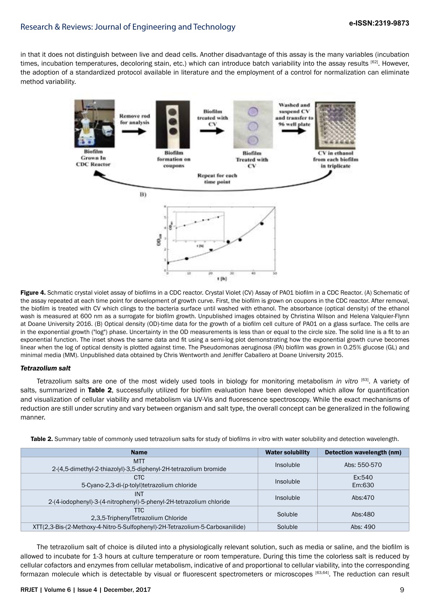in that it does not distinguish between live and dead cells. Another disadvantage of this assay is the many variables (incubation times, incubation temperatures, decoloring stain, etc.) which can introduce batch variability into the assay results [62]. However, the adoption of a standardized protocol available in literature and the employment of a control for normalization can eliminate method variability.



Figure 4. Schmatic crystal violet assay of biofilms in a CDC reactor. Crystal Violet (CV) Assay of PA01 biofilm in a CDC Reactor. (A) Schematic of the assay repeated at each time point for development of growth curve. First, the biofilm is grown on coupons in the CDC reactor. After removal, the biofilm is treated with CV which clings to the bacteria surface until washed with ethanol. The absorbance (optical density) of the ethanol wash is measured at 600 nm as a surrogate for biofilm growth. Unpublished images obtained by Christina Wilson and Helena Valquier-Flynn at Doane University 2016. (B) Optical density (OD)-time data for the growth of a biofilm cell culture of PA01 on a glass surface. The cells are in the exponential growth ("log") phase. Uncertainty in the OD measurements is less than or equal to the circle size. The solid line is a fit to an exponential function. The inset shows the same data and fit using a semi-log plot demonstrating how the exponential growth curve becomes linear when the log of optical density is plotted against time. The Pseudomonas aeruginosa (PA) biofilm was grown in 0.25% glucose (GL) and minimal media (MM). Unpublished data obtained by Chris Wentworth and Jeniffer Caballero at Doane University 2015.

#### *Tetrazolium salt*

Tetrazolium salts are one of the most widely used tools in biology for monitoring metabolism *in vitro* [63]. A variety of salts, summarized in Table 2, successfully utilized for biofilm evaluation have been developed which allow for quantification and visualization of cellular viability and metabolism via UV-Vis and fluorescence spectroscopy. While the exact mechanisms of reduction are still under scrutiny and vary between organism and salt type, the overall concept can be generalized in the following manner.

| <b>Name</b>                                                                    | <b>Water solubility</b> | Detection wavelength (nm) |
|--------------------------------------------------------------------------------|-------------------------|---------------------------|
| <b>MTT</b><br>2-(4,5-dimethyl-2-thiazolyl)-3,5-diphenyl-2H-tetrazolium bromide | Insoluble               | Abs: 550-570              |
| <b>CTC</b><br>5-Cyano-2,3-di-(p-tolyl)tetrazolium chloride                     | Insoluble               | Ex:540<br>Em:630          |
| <b>INT</b>                                                                     |                         |                           |
| 2-(4-iodophenyl)-3-(4-nitrophenyl)-5-phenyl-2H-tetrazolium chloride            | Insoluble               | Abs:470                   |
| <b>TTC</b><br>2.3.5-TriphenylTetrazolium Chloride                              | Soluble                 | Abs:480                   |
| XTT(2,3-Bis-(2-Methoxy-4-Nitro-5-Sulfophenyl)-2H-Tetrazolium-5-Carboxanilide)  | Soluble                 | Abs: 490                  |

Table 2. Summary table of commonly used tetrazolium salts for study of biofilms *in vitro* with water solubility and detection wavelength.

The tetrazolium salt of choice is diluted into a physiologically relevant solution, such as media or saline, and the biofilm is allowed to incubate for 1-3 hours at culture temperature or room temperature. During this time the colorless salt is reduced by cellular cofactors and enzymes from cellular metabolism, indicative of and proportional to cellular viability, into the corresponding formazan molecule which is detectable by visual or fluorescent spectrometers or microscopes [63,64]. The reduction can result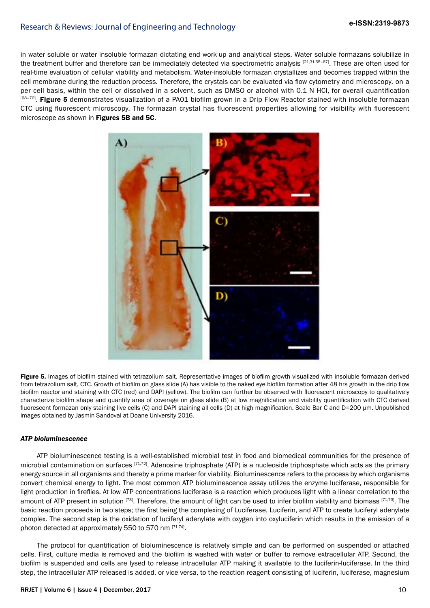in water soluble or water insoluble formazan dictating end work-up and analytical steps. Water soluble formazans solubilize in the treatment buffer and therefore can be immediately detected via spectrometric analysis [21,31,65-67]. These are often used for real-time evaluation of cellular viability and metabolism. Water-insoluble formazan crystallizes and becomes trapped within the cell membrane during the reduction process. Therefore, the crystals can be evaluated via flow cytometry and microscopy, on a per cell basis, within the cell or dissolved in a solvent, such as DMSO or alcohol with 0.1 N HCl, for overall quantification <sup>[68–70]</sup>. Figure 5 demonstrates visualization of a PA01 biofilm grown in a Drip Flow Reactor stained with insoluble formazan CTC using fluorescent microscopy. The formazan crystal has fluorescent properties allowing for visibility with fluorescent microscope as shown in Figures 5B and 5C.



Figure 5. Images of biofilm stained with tetrazolium salt. Representative images of biofilm growth visualized with insoluble formazan derived from tetrazolium salt, CTC. Growth of biofilm on glass slide (A) has visible to the naked eye biofilm formation after 48 hrs growth in the drip flow biofilm reactor and staining with CTC (red) and DAPI (yellow). The biofilm can further be observed with fluorescent microscopy to qualitatively characterize biofilm shape and quantify area of coverage on glass slide (B) at low magnification and viability quantification with CTC derived fluorescent formazan only staining live cells (C) and DAPI staining all cells (D) at high magnification. Scale Bar C and D=200 um. Unpublished images obtained by Jasmin Sandoval at Doane University 2016.

## *ATP bioluminescence*

ATP bioluminescence testing is a well-established microbial test in food and biomedical communities for the presence of microbial contamination on surfaces  $[71,72]$ . Adenosine triphosphate (ATP) is a nucleoside triphosphate which acts as the primary energy source in all organisms and thereby a prime marker for viability. Bioluminescence refers to the process by which organisms convert chemical energy to light. The most common ATP bioluminescence assay utilizes the enzyme luciferase, responsible for light production in fireflies. At low ATP concentrations luciferase is a reaction which produces light with a linear correlation to the amount of ATP present in solution  $[73]$ . Therefore, the amount of light can be used to infer biofilm viability and biomass  $[71,73]$ . The basic reaction proceeds in two steps; the first being the complexing of Luciferase, Luciferin, and ATP to create luciferyl adenylate complex. The second step is the oxidation of luciferyl adenylate with oxygen into oxyluciferin which results in the emission of a photon detected at approximately 550 to 570 nm [71,74].

The protocol for quantification of bioluminescence is relatively simple and can be performed on suspended or attached cells. First, culture media is removed and the biofilm is washed with water or buffer to remove extracellular ATP. Second, the biofilm is suspended and cells are lysed to release intracellular ATP making it available to the luciferin-luciferase. In the third step, the intracellular ATP released is added, or vice versa, to the reaction reagent consisting of luciferin, luciferase, magnesium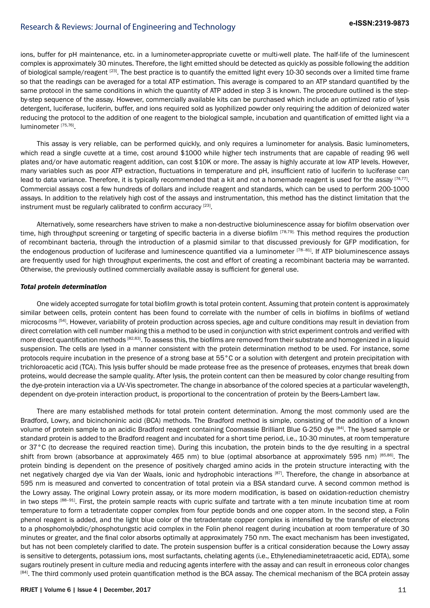ions, buffer for pH maintenance, etc. in a luminometer-appropriate cuvette or multi-well plate. The half-life of the luminescent complex is approximately 30 minutes. Therefore, the light emitted should be detected as quickly as possible following the addition of biological sample/reagent <sup>[23]</sup>. The best practice is to quantify the emitted light every 10-30 seconds over a limited time frame so that the readings can be averaged for a total ATP estimation. This average is compared to an ATP standard quantified by the same protocol in the same conditions in which the quantity of ATP added in step 3 is known. The procedure outlined is the stepby-step sequence of the assay. However, commercially available kits can be purchased which include an optimized ratio of lysis detergent, luciferase, luciferin, buffer, and ions required sold as lyophilized powder only requiring the addition of deionized water reducing the protocol to the addition of one reagent to the biological sample, incubation and quantification of emitted light via a luminometer [75,76].

This assay is very reliable, can be performed quickly, and only requires a luminometer for analysis. Basic luminometers, which read a single cuvette at a time, cost around \$1000 while higher tech instruments that are capable of reading 96 well plates and/or have automatic reagent addition, can cost \$10K or more. The assay is highly accurate at low ATP levels. However, many variables such as poor ATP extraction, fluctuations in temperature and pH, insufficient ratio of luciferin to luciferase can lead to data variance. Therefore, it is typically recommended that a kit and not a homemade reagent is used for the assay [74,77]. Commercial assays cost a few hundreds of dollars and include reagent and standards, which can be used to perform 200-1000 assays. In addition to the relatively high cost of the assays and instrumentation, this method has the distinct limitation that the instrument must be regularly calibrated to confirm accuracy [23].

Alternatively, some researchers have striven to make a non-destructive bioluminescence assay for biofilm observation over time, high throughput screening or targeting of specific bacteria in a diverse biofilm [78,79]. This method requires the production of recombinant bacteria, through the introduction of a plasmid similar to that discussed previously for GFP modification, for the endogenous production of luciferase and luminescence quantified via a luminometer [78-81]. If ATP bioluminescence assays are frequently used for high throughput experiments, the cost and effort of creating a recombinant bacteria may be warranted. Otherwise, the previously outlined commercially available assay is sufficient for general use.

#### *Total protein determination*

One widely accepted surrogate for total biofilm growth is total protein content. Assuming that protein content is approximately similar between cells, protein content has been found to correlate with the number of cells in biofilms in biofilms of wetland microcosms <sup>[54]</sup>. However, variability of protein production across species, age and culture conditions may result in deviation from direct correlation with cell number making this a method to be used in conjunction with strict experiment controls and verified with more direct quantification methods [82,83]. To assess this, the biofilms are removed from their substrate and homogenized in a liquid suspension. The cells are lysed in a manner consistent with the protein determination method to be used. For instance, some protocols require incubation in the presence of a strong base at 55°C or a solution with detergent and protein precipitation with trichloroacetic acid (TCA). This lysis buffer should be made protease free as the presence of proteases, enzymes that break down proteins, would decrease the sample quality. After lysis, the protein content can then be measured by color change resulting from the dye-protein interaction via a UV-Vis spectrometer. The change in absorbance of the colored species at a particular wavelength, dependent on dye-protein interaction product, is proportional to the concentration of protein by the Beers-Lambert law.

There are many established methods for total protein content determination. Among the most commonly used are the Bradford, Lowry, and bicinchoninic acid (BCA) methods. The Bradford method is simple, consisting of the addition of a known volume of protein sample to an acidic Bradford reagent containing Coomassie Brilliant Blue G-250 dye [84]. The lysed sample or standard protein is added to the Bradford reagent and incubated for a short time period, i.e., 10-30 minutes, at room temperature or 37°C (to decrease the required reaction time). During this incubation, the protein binds to the dye resulting in a spectral shift from brown (absorbance at approximately 465 nm) to blue (optimal absorbance at approximately 595 nm) [85,86]. The protein binding is dependent on the presence of positively charged amino acids in the protein structure interacting with the net negatively charged dye via Van der Waals, ionic and hydrophobic interactions [87]. Therefore, the change in absorbance at 595 nm is measured and converted to concentration of total protein via a BSA standard curve. A second common method is the Lowry assay. The original Lowry protein assay, or its more modern modification, is based on oxidation-reduction chemistry in two steps [88-91]. First, the protein sample reacts with cupric sulfate and tartrate with a ten minute incubation time at room temperature to form a tetradentate copper complex from four peptide bonds and one copper atom. In the second step, a Folin phenol reagent is added, and the light blue color of the tetradentate copper complex is intensified by the transfer of electrons to a phosphomolybdic/phosphotungstic acid complex in the Folin phenol reagent during incubation at room temperature of 30 minutes or greater, and the final color absorbs optimally at approximately 750 nm. The exact mechanism has been investigated, but has not been completely clarified to date. The protein suspension buffer is a critical consideration because the Lowry assay is sensitive to detergents, potassium ions, most surfactants, chelating agents (i.e., Ethylenediaminetetraacetic acid, EDTA), some sugars routinely present in culture media and reducing agents interfere with the assay and can result in erroneous color changes <sup>[84]</sup>. The third commonly used protein quantification method is the BCA assay. The chemical mechanism of the BCA protein assay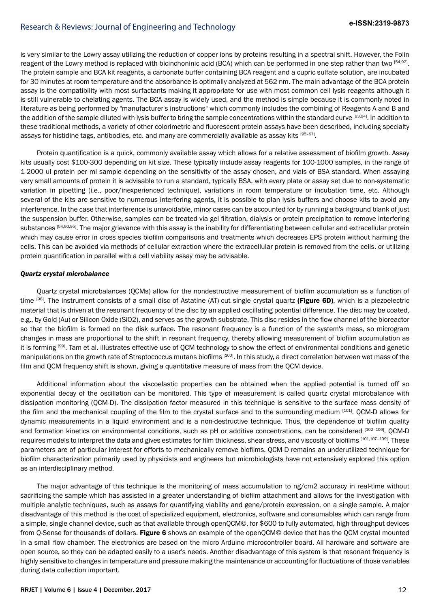is very similar to the Lowry assay utilizing the reduction of copper ions by proteins resulting in a spectral shift. However, the Folin reagent of the Lowry method is replaced with bicinchoninic acid (BCA) which can be performed in one step rather than two [54,92]. The protein sample and BCA kit reagents, a carbonate buffer containing BCA reagent and a cupric sulfate solution, are incubated for 30 minutes at room temperature and the absorbance is optimally analyzed at 562 nm. The main advantage of the BCA protein assay is the compatibility with most surfactants making it appropriate for use with most common cell lysis reagents although it is still vulnerable to chelating agents. The BCA assay is widely used, and the method is simple because it is commonly noted in literature as being performed by "manufacturer's instructions" which commonly includes the combining of Reagents A and B and the addition of the sample diluted with lysis buffer to bring the sample concentrations within the standard curve [93,94]. In addition to these traditional methods, a variety of other colorimetric and fluorescent protein assays have been described, including specialty assays for histidine tags, antibodies, etc. and many are commercially available as assay kits [95–97].

Protein quantification is a quick, commonly available assay which allows for a relative assessment of biofilm growth. Assay kits usually cost \$100-300 depending on kit size. These typically include assay reagents for 100-1000 samples, in the range of 1-2000 ul protein per ml sample depending on the sensitivity of the assay chosen, and vials of BSA standard. When assaying very small amounts of protein it is advisable to run a standard, typically BSA, with every plate or assay set due to non-systematic variation in pipetting (i.e., poor/inexperienced technique), variations in room temperature or incubation time, etc. Although several of the kits are sensitive to numerous interfering agents, it is possible to plan lysis buffers and choose kits to avoid any interference. In the case that interference is unavoidable, minor cases can be accounted for by running a background blank of just the suspension buffer. Otherwise, samples can be treated via gel filtration, dialysis or protein precipitation to remove interfering substances [54,90,95]. The major grievance with this assay is the inability for differentiating between cellular and extracellular protein which may cause error in cross species biofilm comparisons and treatments which decreases EPS protein without harming the cells. This can be avoided via methods of cellular extraction where the extracellular protein is removed from the cells, or utilizing protein quantification in parallel with a cell viability assay may be advisable.

#### *Quartz crystal microbalance*

Quartz crystal microbalances (QCMs) allow for the nondestructive measurement of biofilm accumulation as a function of time [98]. The instrument consists of a small disc of Astatine (AT)-cut single crystal quartz (Figure 6D), which is a piezoelectric material that is driven at the resonant frequency of the disc by an applied oscillating potential difference. The disc may be coated, e.g., by Gold (Au) or Silicon Oxide (SiO2), and serves as the growth substrate. This disc resides in the flow channel of the bioreactor so that the biofilm is formed on the disk surface. The resonant frequency is a function of the system's mass, so microgram changes in mass are proportional to the shift in resonant frequency, thereby allowing measurement of biofilm accumulation as it is forming [99]. Tam et al. illustrates effective use of QCM technology to show the effect of environmental conditions and genetic manipulations on the growth rate of Streptococcus mutans biofilms [100]. In this study, a direct correlation between wet mass of the film and QCM frequency shift is shown, giving a quantitative measure of mass from the QCM device.

Additional information about the viscoelastic properties can be obtained when the applied potential is turned off so exponential decay of the oscillation can be monitored. This type of measurement is called quartz crystal microbalance with dissipation monitoring (QCM-D). The dissipation factor measured in this technique is sensitive to the surface mass density of the film and the mechanical coupling of the film to the crystal surface and to the surrounding medium [101]. QCM-D allows for dynamic measurements in a liquid environment and is a non-destructive technique. Thus, the dependence of biofilm quality and formation kinetics on environmental conditions, such as pH or additive concentrations, can be considered [102-106]. QCM-D requires models to interpret the data and gives estimates for film thickness, shear stress, and viscosity of biofilms [101,107-109]. These parameters are of particular interest for efforts to mechanically remove biofilms. QCM-D remains an underutilized technique for biofilm characterization primarily used by physicists and engineers but microbiologists have not extensively explored this option as an interdisciplinary method.

The major advantage of this technique is the monitoring of mass accumulation to ng/cm2 accuracy in real-time without sacrificing the sample which has assisted in a greater understanding of biofilm attachment and allows for the investigation with multiple analytic techniques, such as assays for quantifying viability and gene/protein expression, on a single sample. A major disadvantage of this method is the cost of specialized equipment, electronics, software and consumables which can range from a simple, single channel device, such as that available through openQCM©, for \$600 to fully automated, high-throughput devices from Q-Sense for thousands of dollars. Figure 6 shows an example of the openQCM© device that has the QCM crystal mounted in a small flow chamber. The electronics are based on the micro Arduino microcontroller board. All hardware and software are open source, so they can be adapted easily to a user's needs. Another disadvantage of this system is that resonant frequency is highly sensitive to changes in temperature and pressure making the maintenance or accounting for fluctuations of those variables during data collection important.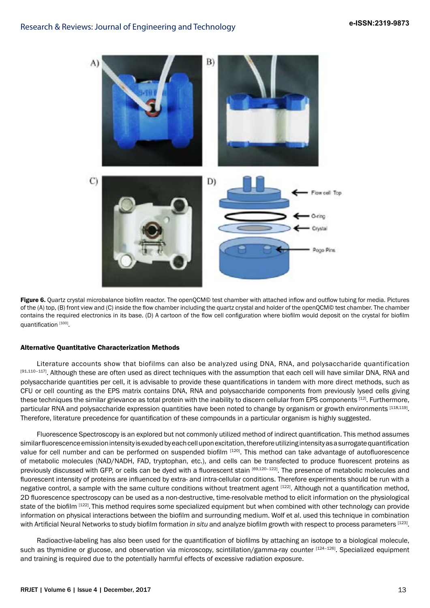

Figure 6. Quartz crystal microbalance biofilm reactor. The openQCM© test chamber with attached inflow and outflow tubing for media. Pictures of the (A) top, (B) front view and (C) inside the flow chamber including the quartz crystal and holder of the openQCM© test chamber. The chamber contains the required electronics in its base. (D) A cartoon of the flow cell configuration where biofilm would deposit on the crystal for biofilm quantification [100].

#### Alternative Quantitative Characterization Methods

Literature accounts show that biofilms can also be analyzed using DNA, RNA, and polysaccharide quantification [91,110-117]. Although these are often used as direct techniques with the assumption that each cell will have similar DNA, RNA and polysaccharide quantities per cell, it is advisable to provide these quantifications in tandem with more direct methods, such as CFU or cell counting as the EPS matrix contains DNA, RNA and polysaccharide components from previously lysed cells giving these techniques the similar grievance as total protein with the inability to discern cellular from EPS components [12]. Furthermore, particular RNA and polysaccharide expression quantities have been noted to change by organism or growth environments [118,119]. Therefore, literature precedence for quantification of these compounds in a particular organism is highly suggested.

Fluorescence Spectroscopy is an explored but not commonly utilized method of indirect quantification. This method assumes similar fluorescence emission intensity is exuded by each cell upon excitation, therefore utilizing intensity as a surrogate quantification value for cell number and can be performed on suspended biofilm [120]. This method can take advantage of autofluorescence of metabolic molecules (NAD/NADH, FAD, tryptophan, etc.), and cells can be transfected to produce fluorescent proteins as previously discussed with GFP, or cells can be dyed with a fluorescent stain [69,120-122]. The presence of metabolic molecules and fluorescent intensity of proteins are influenced by extra- and intra-cellular conditions. Therefore experiments should be run with a negative control, a sample with the same culture conditions without treatment agent  $[122]$ . Although not a quantification method, 2D fluorescence spectroscopy can be used as a non-destructive, time-resolvable method to elicit information on the physiological state of the biofilm <sup>[122]</sup>. This method requires some specialized equipment but when combined with other technology can provide information on physical interactions between the biofilm and surrounding medium. Wolf et al. used this technique in combination with Artificial Neural Networks to study biofilm formation *in situ* and analyze biofilm growth with respect to process parameters [123].

Radioactive-labeling has also been used for the quantification of biofilms by attaching an isotope to a biological molecule, such as thymidine or glucose, and observation via microscopy, scintillation/gamma-ray counter [124-126]. Specialized equipment and training is required due to the potentially harmful effects of excessive radiation exposure.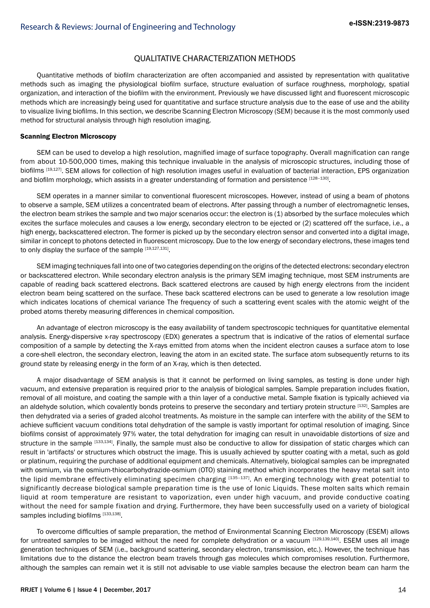## QUALITATIVE CHARACTERIZATION METHODS

Quantitative methods of biofilm characterization are often accompanied and assisted by representation with qualitative methods such as imaging the physiological biofilm surface, structure evaluation of surface roughness, morphology, spatial organization, and interaction of the biofilm with the environment. Previously we have discussed light and fluorescent microscopic methods which are increasingly being used for quantitative and surface structure analysis due to the ease of use and the ability to visualize living biofilms. In this section, we describe Scanning Electron Microscopy (SEM) because it is the most commonly used method for structural analysis through high resolution imaging.

#### Scanning Electron Microscopy

SEM can be used to develop a high resolution, magnified image of surface topography. Overall magnification can range from about 10-500,000 times, making this technique invaluable in the analysis of microscopic structures, including those of biofilms [19,127]. SEM allows for collection of high resolution images useful in evaluation of bacterial interaction, EPS organization and biofilm morphology, which assists in a greater understanding of formation and persistence [128-130].

SEM operates in a manner similar to conventional fluorescent microscopes. However, instead of using a beam of photons to observe a sample, SEM utilizes a concentrated beam of electrons. After passing through a number of electromagnetic lenses, the electron beam strikes the sample and two major scenarios occur: the electron is (1) absorbed by the surface molecules which excites the surface molecules and causes a low energy, secondary electron to be ejected or (2) scattered off the surface, i.e., a high energy, backscattered electron. The former is picked up by the secondary electron sensor and converted into a digital image, similar in concept to photons detected in fluorescent microscopy. Due to the low energy of secondary electrons, these images tend to only display the surface of the sample [19,127,131].

SEM imaging techniques fall into one of two categories depending on the origins of the detected electrons: secondary electron or backscattered electron. While secondary electron analysis is the primary SEM imaging technique, most SEM instruments are capable of reading back scattered electrons. Back scattered electrons are caused by high energy electrons from the incident electron beam being scattered on the surface. These back scattered electrons can be used to generate a low resolution image which indicates locations of chemical variance The frequency of such a scattering event scales with the atomic weight of the probed atoms thereby measuring differences in chemical composition.

An advantage of electron microscopy is the easy availability of tandem spectroscopic techniques for quantitative elemental analysis. Energy-dispersive x-ray spectroscopy (EDX) generates a spectrum that is indicative of the ratios of elemental surface composition of a sample by detecting the X-rays emitted from atoms when the incident electron causes a surface atom to lose a core-shell electron, the secondary electron, leaving the atom in an excited state. The surface atom subsequently returns to its ground state by releasing energy in the form of an X-ray, which is then detected.

A major disadvantage of SEM analysis is that it cannot be performed on living samples, as testing is done under high vacuum, and extensive preparation is required prior to the analysis of biological samples. Sample preparation includes fixation, removal of all moisture, and coating the sample with a thin layer of a conductive metal. Sample fixation is typically achieved via an aldehyde solution, which covalently bonds proteins to preserve the secondary and tertiary protein structure [132]. Samples are then dehydrated via a series of graded alcohol treatments. As moisture in the sample can interfere with the ability of the SEM to achieve sufficient vacuum conditions total dehydration of the sample is vastly important for optimal resolution of imaging. Since biofilms consist of approximately 97% water, the total dehydration for imaging can result in unavoidable distortions of size and structure in the sample [133,134]. Finally, the sample must also be conductive to allow for dissipation of static charges which can result in 'artifacts' or structures which obstruct the image. This is usually achieved by sputter coating with a metal, such as gold or platinum, requiring the purchase of additional equipment and chemicals. Alternatively, biological samples can be impregnated with osmium, via the osmium-thiocarbohydrazide-osmium (OTO) staining method which incorporates the heavy metal salt into the lipid membrane effectively eliminating specimen charging [135-137]. An emerging technology with great potential to significantly decrease biological sample preparation time is the use of Ionic Liquids. These molten salts which remain liquid at room temperature are resistant to vaporization, even under high vacuum, and provide conductive coating without the need for sample fixation and drying. Furthermore, they have been successfully used on a variety of biological samples including biofilms [133,138].

To overcome difficulties of sample preparation, the method of Environmental Scanning Electron Microscopy (ESEM) allows for untreated samples to be imaged without the need for complete dehydration or a vacuum [129,139,140]. ESEM uses all image generation techniques of SEM (i.e., background scattering, secondary electron, transmission, etc.). However, the technique has limitations due to the distance the electron beam travels through gas molecules which compromises resolution. Furthermore, although the samples can remain wet it is still not advisable to use viable samples because the electron beam can harm the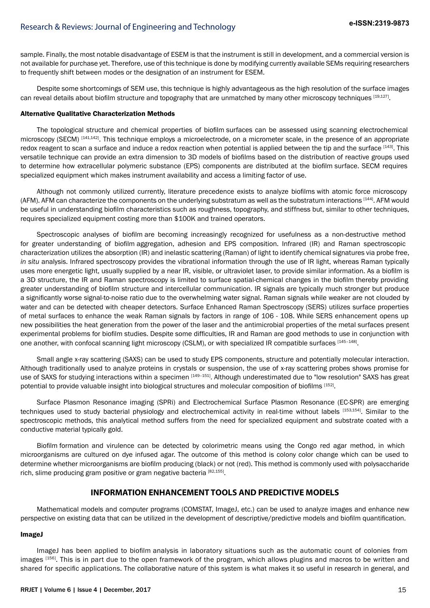sample. Finally, the most notable disadvantage of ESEM is that the instrument is still in development, and a commercial version is not available for purchase yet. Therefore, use of this technique is done by modifying currently available SEMs requiring researchers to frequently shift between modes or the designation of an instrument for ESEM.

Despite some shortcomings of SEM use, this technique is highly advantageous as the high resolution of the surface images can reveal details about biofilm structure and topography that are unmatched by many other microscopy techniques [19,127].

## Alternative Qualitative Characterization Methods

The topological structure and chemical properties of biofilm surfaces can be assessed using scanning electrochemical microscopy (SECM) [141,142]. This technique employs a microelectrode, on a micrometer scale, in the presence of an appropriate redox reagent to scan a surface and induce a redox reaction when potential is applied between the tip and the surface [143]. This versatile technique can provide an extra dimension to 3D models of biofilms based on the distribution of reactive groups used to determine how extracellular polymeric substance (EPS) components are distributed at the biofilm surface. SECM requires specialized equipment which makes instrument availability and access a limiting factor of use.

Although not commonly utilized currently, literature precedence exists to analyze biofilms with atomic force microscopy (AFM). AFM can characterize the components on the underlying substratum as well as the substratum interactions [144]. AFM would be useful in understanding biofilm characteristics such as roughness, topography, and stiffness but, similar to other techniques, requires specialized equipment costing more than \$100K and trained operators.

Spectroscopic analyses of biofilm are becoming increasingly recognized for usefulness as a non-destructive method for greater understanding of biofilm aggregation, adhesion and EPS composition. Infrared (IR) and Raman spectroscopic characterization utilizes the absorption (IR) and inelastic scattering (Raman) of light to identify chemical signatures via probe free, *in situ* analysis. Infrared spectroscopy provides the vibrational information through the use of IR light, whereas Raman typically uses more energetic light, usually supplied by a near IR, visible, or ultraviolet laser, to provide similar information. As a biofilm is a 3D structure, the IR and Raman spectroscopy is limited to surface spatial-chemical changes in the biofilm thereby providing greater understanding of biofilm structure and intercellular communication. IR signals are typically much stronger but produce a significantly worse signal-to-noise ratio due to the overwhelming water signal. Raman signals while weaker are not clouded by water and can be detected with cheaper detectors. Surface Enhanced Raman Spectroscopy (SERS) utilizes surface properties of metal surfaces to enhance the weak Raman signals by factors in range of 106 - 108. While SERS enhancement opens up new possibilities the heat generation from the power of the laser and the antimicrobial properties of the metal surfaces present experimental problems for biofilm studies. Despite some difficulties, IR and Raman are good methods to use in conjunction with one another, with confocal scanning light microscopy (CSLM), or with specialized IR compatible surfaces [145-148].

Small angle x-ray scattering (SAXS) can be used to study EPS components, structure and potentially molecular interaction. Although traditionally used to analyze proteins in crystals or suspension, the use of x-ray scattering probes shows promise for use of SAXS for studying interactions within a specimen [149-151]. Although underestimated due to "low resolution" SAXS has great potential to provide valuable insight into biological structures and molecular composition of biofilms [152].

Surface Plasmon Resonance imaging (SPRi) and Electrochemical Surface Plasmon Resonance (EC-SPR) are emerging techniques used to study bacterial physiology and electrochemical activity in real-time without labels [153,154] . Similar to the spectroscopic methods, this analytical method suffers from the need for specialized equipment and substrate coated with a conductive material typically gold.

Biofilm formation and virulence can be detected by colorimetric means using the Congo red agar method, in which microorganisms are cultured on dye infused agar. The outcome of this method is colony color change which can be used to determine whether microorganisms are biofilm producing (black) or not (red). This method is commonly used with polysaccharide rich, slime producing gram positive or gram negative bacteria [82,155].

## **INFORMATION ENHANCEMENT TOOLS AND PREDICTIVE MODELS**

Mathematical models and computer programs (COMSTAT, ImageJ, etc.) can be used to analyze images and enhance new perspective on existing data that can be utilized in the development of descriptive/predictive models and biofilm quantification.

#### ImageJ

ImageJ has been applied to biofilm analysis in laboratory situations such as the automatic count of colonies from images [156]. This is in part due to the open framework of the program, which allows plugins and macros to be written and shared for specific applications. The collaborative nature of this system is what makes it so useful in research in general, and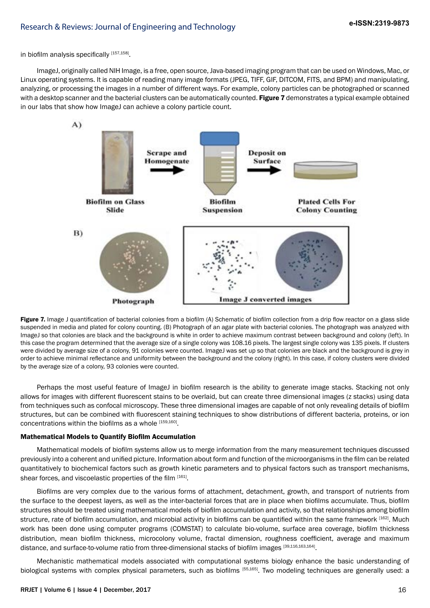in biofilm analysis specifically [157,158].

ImageJ, originally called NIH Image, is a free, open source, Java-based imaging program that can be used on Windows, Mac, or Linux operating systems. It is capable of reading many image formats (JPEG, TIFF, GIF, DITCOM, FITS, and BPM) and manipulating, analyzing, or processing the images in a number of different ways. For example, colony particles can be photographed or scanned with a desktop scanner and the bacterial clusters can be automatically counted. Figure 7 demonstrates a typical example obtained in our labs that show how ImageJ can achieve a colony particle count.



Figure 7. Image J quantification of bacterial colonies from a biofilm (A) Schematic of biofilm collection from a drip flow reactor on a glass slide suspended in media and plated for colony counting. (B) Photograph of an agar plate with bacterial colonies. The photograph was analyzed with ImageJ so that colonies are black and the background is white in order to achieve maximum contrast between background and colony (left). In this case the program determined that the average size of a single colony was 108.16 pixels. The largest single colony was 135 pixels. If clusters were divided by average size of a colony, 91 colonies were counted. ImageJ was set up so that colonies are black and the background is grey in order to achieve minimal reflectance and uniformity between the background and the colony (right). In this case, if colony clusters were divided by the average size of a colony, 93 colonies were counted.

Perhaps the most useful feature of ImageJ in biofilm research is the ability to generate image stacks. Stacking not only allows for images with different fluorescent stains to be overlaid, but can create three dimensional images (z stacks) using data from techniques such as confocal microscopy. These three dimensional images are capable of not only revealing details of biofilm structures, but can be combined with fluorescent staining techniques to show distributions of different bacteria, proteins, or ion concentrations within the biofilms as a whole [159,160].

#### Mathematical Models to Quantify Biofilm Accumulation

Mathematical models of biofilm systems allow us to merge information from the many measurement techniques discussed previously into a coherent and unified picture. Information about form and function of the microorganisms in the film can be related quantitatively to biochemical factors such as growth kinetic parameters and to physical factors such as transport mechanisms, shear forces, and viscoelastic properties of the film [161].

Biofilms are very complex due to the various forms of attachment, detachment, growth, and transport of nutrients from the surface to the deepest layers, as well as the inter-bacterial forces that are in place when biofilms accumulate. Thus, biofilm structures should be treated using mathematical models of biofilm accumulation and activity, so that relationships among biofilm structure, rate of biofilm accumulation, and microbial activity in biofilms can be quantified within the same framework [162]. Much work has been done using computer programs (COMSTAT) to calculate bio-volume, surface area coverage, biofilm thickness distribution, mean biofilm thickness, microcolony volume, fractal dimension, roughness coefficient, average and maximum distance, and surface-to-volume ratio from three-dimensional stacks of biofilm images [39,116,163,164].

Mechanistic mathematical models associated with computational systems biology enhance the basic understanding of biological systems with complex physical parameters, such as biofilms [55,165]. Two modeling techniques are generally used: a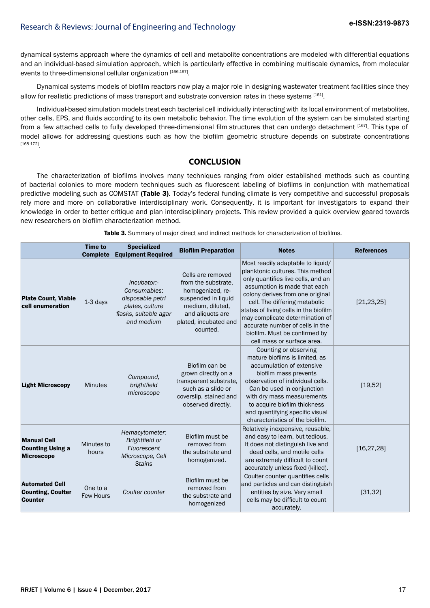dynamical systems approach where the dynamics of cell and metabolite concentrations are modeled with differential equations and an individual-based simulation approach, which is particularly effective in combining multiscale dynamics, from molecular events to three-dimensional cellular organization  $^{[166,167]}.$ 

Dynamical systems models of biofilm reactors now play a major role in designing wastewater treatment facilities since they allow for realistic predictions of mass transport and substrate conversion rates in these systems  $^{[161]}$ .

Individual-based simulation models treat each bacterial cell individually interacting with its local environment of metabolites, other cells, EPS, and fluids according to its own metabolic behavior. The time evolution of the system can be simulated starting from a few attached cells to fully developed three-dimensional film structures that can undergo detachment [167]. This type of model allows for addressing questions such as how the biofilm geometric structure depends on substrate concentrations [168-172] .

## **CONCLUSION**

The characterization of biofilms involves many techniques ranging from older established methods such as counting of bacterial colonies to more modern techniques such as fluorescent labeling of biofilms in conjunction with mathematical predictive modeling such as COMSTAT (Table 3). Today's federal funding climate is very competitive and successful proposals rely more and more on collaborative interdisciplinary work. Consequently, it is important for investigators to expand their knowledge in order to better critique and plan interdisciplinary projects. This review provided a quick overview geared towards new researchers on biofilm characterization method.

|                                                                     | <b>Time to</b><br><b>Complete</b> | <b>Specialized</b><br><b>Equipment Required</b>                                                           | <b>Biofilm Preparation</b>                                                                                                                                       | <b>Notes</b>                                                                                                                                                                                                                                                                                                                                                                                   | <b>References</b> |
|---------------------------------------------------------------------|-----------------------------------|-----------------------------------------------------------------------------------------------------------|------------------------------------------------------------------------------------------------------------------------------------------------------------------|------------------------------------------------------------------------------------------------------------------------------------------------------------------------------------------------------------------------------------------------------------------------------------------------------------------------------------------------------------------------------------------------|-------------------|
| <b>Plate Count, Viable</b><br>cell enumeration                      | 1-3 days                          | Incubator:-<br>Consumables:<br>disposable petri<br>plates, culture<br>flasks, suitable agar<br>and medium | Cells are removed<br>from the substrate,<br>homogenized, re-<br>suspended in liquid<br>medium, diluted,<br>and aliquots are<br>plated, incubated and<br>counted. | Most readily adaptable to liquid/<br>planktonic cultures. This method<br>only quantifies live cells, and an<br>assumption is made that each<br>colony derives from one original<br>cell. The differing metabolic<br>states of living cells in the biofilm<br>may complicate determination of<br>accurate number of cells in the<br>biofilm. Must be confirmed by<br>cell mass or surface area. | [21, 23, 25]      |
| <b>Light Microscopy</b>                                             | <b>Minutes</b>                    | Compound,<br>brightfield<br>microscope                                                                    | Biofilm can be<br>grown directly on a<br>transparent substrate.<br>such as a slide or<br>coverslip, stained and<br>observed directly.                            | Counting or observing<br>mature biofilms is limited, as<br>accumulation of extensive<br>biofilm mass prevents<br>observation of individual cells.<br>Can be used in conjunction<br>with dry mass measurements<br>to acquire biofilm thickness<br>and quantifying specific visual<br>characteristics of the biofilm.                                                                            | [19,52]           |
| <b>Manual Cell</b><br><b>Counting Using a</b><br><b>Microscope</b>  | Minutes to<br>hours               | Hemacytometer:<br>Brightfield or<br>Fluorescent<br>Microscope, Cell<br><b>Stains</b>                      | Biofilm must be<br>removed from<br>the substrate and<br>homogenized.                                                                                             | Relatively inexpensive, reusable,<br>and easy to learn, but tedious.<br>It does not distinguish live and<br>dead cells, and motile cells<br>are extremely difficult to count<br>accurately unless fixed (killed).                                                                                                                                                                              | [16, 27, 28]      |
| <b>Automated Cell</b><br><b>Counting, Coulter</b><br><b>Counter</b> | One to a<br>Few Hours             | Coulter counter                                                                                           | Biofilm must be<br>removed from<br>the substrate and<br>homogenized                                                                                              | Coulter counter quantifies cells<br>and particles and can distinguish<br>entities by size. Very small<br>cells may be difficult to count<br>accurately.                                                                                                                                                                                                                                        | [31, 32]          |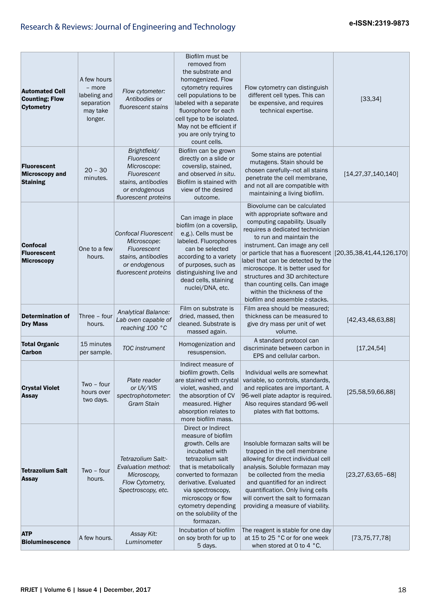| <b>Automated Cell</b><br><b>Counting; Flow</b><br><b>Cytometry</b> | A few hours<br>- more<br>labeling and<br>separation<br>may take<br>longer. | Flow cytometer:<br>Antibodies or<br>fluorescent stains                                                                   | Biofilm must be<br>removed from<br>the substrate and<br>homogenized. Flow<br>cytometry requires<br>cell populations to be<br>labeled with a separate<br>fluorophore for each<br>cell type to be isolated.<br>May not be efficient if<br>you are only trying to<br>count cells.            | Flow cytometry can distinguish<br>different cell types. This can<br>be expensive, and requires<br>technical expertise.                                                                                                                                                                                                                                                                                                                                                      | [33, 34]                |
|--------------------------------------------------------------------|----------------------------------------------------------------------------|--------------------------------------------------------------------------------------------------------------------------|-------------------------------------------------------------------------------------------------------------------------------------------------------------------------------------------------------------------------------------------------------------------------------------------|-----------------------------------------------------------------------------------------------------------------------------------------------------------------------------------------------------------------------------------------------------------------------------------------------------------------------------------------------------------------------------------------------------------------------------------------------------------------------------|-------------------------|
| <b>Fluorescent</b><br><b>Microscopy and</b><br><b>Staining</b>     | $20 - 30$<br>minutes.                                                      | Brightfield/<br>Fluorescent<br>Microscope:<br>Fluorescent<br>stains, antibodies<br>or endogenous<br>fluorescent proteins | Biofilm can be grown<br>directly on a slide or<br>coverslip, stained,<br>and observed in situ.<br>Biofilm is stained with<br>view of the desired<br>outcome.                                                                                                                              | Some stains are potential<br>mutagens. Stain should be<br>chosen carefully--not all stains<br>penetrate the cell membrane,<br>and not all are compatible with<br>maintaining a living biofilm.                                                                                                                                                                                                                                                                              | [14, 27, 37, 140, 140]  |
| <b>Confocal</b><br><b>Fluorescent</b><br><b>Microscopy</b>         | One to a few<br>hours.                                                     | Confocal Fluorescent<br>Microscope:<br>Fluorescent<br>stains, antibodies<br>or endogenous<br>fluorescent proteins        | Can image in place<br>biofilm (on a coverslip,<br>e.g.). Cells must be<br>labeled. Fluorophores<br>can be selected<br>according to a variety<br>of purposes, such as<br>distinguishing live and<br>dead cells, staining<br>nuclei/DNA, etc.                                               | Biovolume can be calculated<br>with appropriate software and<br>computing capability. Usually<br>requires a dedicated technician<br>to run and maintain the<br>instrument. Can image any cell<br>or particle that has a fluorescent [20,35,38,41,44,126,170]<br>label that can be detected by the<br>microscope. It is better used for<br>structures and 3D architecture<br>than counting cells. Can image<br>within the thickness of the<br>biofilm and assemble z-stacks. |                         |
| <b>Determination of</b><br><b>Dry Mass</b>                         | Three - four<br>hours.                                                     | Analytical Balance:<br>Lab oven capable of<br>reaching 100 °C                                                            | Film on substrate is<br>dried, massed, then<br>cleaned. Substrate is<br>massed again.                                                                                                                                                                                                     | Film area should be measured;<br>thickness can be measured to<br>give dry mass per unit of wet<br>volume.                                                                                                                                                                                                                                                                                                                                                                   | [42, 43, 48, 63, 88]    |
| <b>Total Organic</b><br><b>Carbon</b>                              | 15 minutes<br>per sample.                                                  | <b>TOC</b> instrument                                                                                                    | Homogenization and<br>resuspension.                                                                                                                                                                                                                                                       | A standard protocol can<br>discriminate between carbon in<br>EPS and cellular carbon.                                                                                                                                                                                                                                                                                                                                                                                       | [17, 24, 54]            |
| <b>Crystal Violet</b><br><b>Assay</b>                              | $Two$ - four<br>hours over<br>two days.                                    | Plate reader<br>or UV/VIS<br>spectrophotometer:<br><b>Gram Stain</b>                                                     | Indirect measure of<br>biofilm growth. Cells<br>are stained with crystal<br>violet, washed, and<br>the absorption of CV<br>measured. Higher<br>absorption relates to<br>more biofilm mass.                                                                                                | Individual wells are somewhat<br>variable, so controls, standards,<br>and replicates are important. A<br>96-well plate adaptor is required.<br>Also requires standard 96-well<br>plates with flat bottoms.                                                                                                                                                                                                                                                                  | [25,58,59,66,88]        |
| <b>Tetrazolium Salt</b><br><b>Assay</b>                            | $Two$ - four<br>hours.                                                     | Tetrazolium Salt:-<br>Evaluation method:<br>Microscopy,<br>Flow Cytometry,<br>Spectroscopy, etc.                         | Direct or Indirect<br>measure of biofilm<br>growth. Cells are<br>incubated with<br>tetrazolium salt<br>that is metabolically<br>converted to formazan<br>derivative. Evaluated<br>via spectroscopy,<br>microscopy or flow<br>cytometry depending<br>on the solubility of the<br>formazan. | Insoluble formazan salts will be<br>trapped in the cell membrane<br>allowing for direct individual cell<br>analysis. Soluble formazan may<br>be collected from the media<br>and quantified for an indirect<br>quantification. Only living cells<br>will convert the salt to formazan<br>providing a measure of viability.                                                                                                                                                   | $[23, 27, 63, 65 - 68]$ |
| <b>ATP</b><br><b>Bioluminescence</b>                               | A few hours.                                                               | Assay Kit:<br>Luminometer                                                                                                | Incubation of biofilm<br>on soy broth for up to<br>5 days.                                                                                                                                                                                                                                | The reagent is stable for one day<br>at 15 to 25 °C or for one week<br>when stored at 0 to 4 °C.                                                                                                                                                                                                                                                                                                                                                                            | [73, 75, 77, 78]        |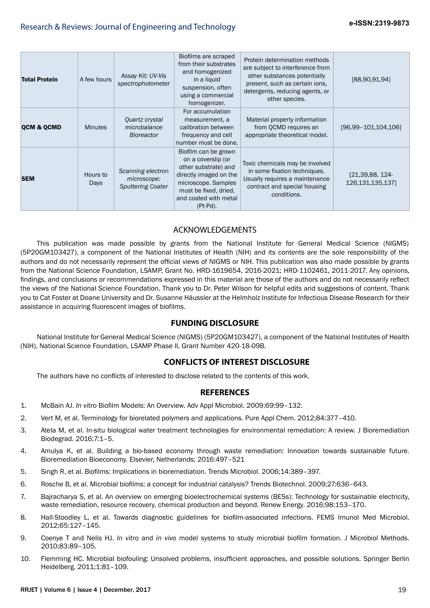| <b>Total Protein</b>  | A few hours             | Assay Kit: UV-Vis<br>spectrophotometer                       | Biofilms are scraped<br>from their substrates<br>and homogenized<br>in a liquid<br>suspension, often<br>using a commercial<br>homogenizer.                                          | Protein determination methods<br>are subject to interference from<br>other substances potentially<br>present, such as certain ions,<br>detergents, reducing agents, or<br>other species. | [88,90,91,94]                          |
|-----------------------|-------------------------|--------------------------------------------------------------|-------------------------------------------------------------------------------------------------------------------------------------------------------------------------------------|------------------------------------------------------------------------------------------------------------------------------------------------------------------------------------------|----------------------------------------|
| <b>QCM &amp; QCMD</b> | <b>Minutes</b>          | Quartz crystal<br>microbalance<br><b>Bioreactor</b>          | For accumulation<br>measurement, a<br>calibration between<br>frequency and cell<br>number must be done.                                                                             | Material property information<br>from OCMD requires an<br>appropriate theoretical model.                                                                                                 | $[96, 99 - 101, 104, 106]$             |
| <b>SEM</b>            | Hours to<br><b>Days</b> | Scanning electron<br>microscope:<br><b>Sputtering Coater</b> | Biofilm can be grown<br>on a coverslip (or<br>other substrate) and<br>directly imaged on the<br>microscope. Samples<br>must be fixed, dried,<br>and coated with metal<br>$(Pt-Pd).$ | Toxic chemicals may be involved<br>in some fixation techniques.<br>Usually requires a maintenance<br>contract and special housing<br>conditions.                                         | [21,39,88, 124-<br>126, 131, 135, 137] |

## ACKNOWLEDGEMENTS

This publication was made possible by grants from the National Institute for General Medical Science (NIGMS) (5P20GM103427), a component of the National Institutes of Health (NIH) and its contents are the sole responsibility of the authors and do not necessarily represent the official views of NIGMS or NIH. This publication was also made possible by grants from the National Science Foundation, LSAMP, Grant No. HRD-1619654, 2016-2021; HRD-1102461, 2011-2017. Any opinions, findings, and conclusions or recommendations expressed in this material are those of the authors and do not necessarily reflect the views of the National Science Foundation. Thank you to Dr. Peter Wilson for helpful edits and suggestions of content. Thank you to Cat Foster at Doane University and Dr. Susanne Häussler at the Helmholz Institute for Infectious Disease Research for their assistance in acquiring fluorescent images of biofilms.

## **FUNDING DISCLOSURE**

National Institute for General Medical Science (NIGMS) (5P20GM103427), a component of the National Institutes of Health (NIH), National Science Foundation, LSAMP Phase II, Grant Number 420-18-09B.

## **CONFLICTS OF INTEREST DISCLOSURE**

The authors have no conflicts of interested to disclose related to the contents of this work.

## **REFERENCES**

- 1. McBain AJ. *In vitro* Biofilm Models: An Overview. Adv Appl Microbiol. 2009;69:99–132.
- 2. Vert M, et al. Terminology for biorelated polymers and applications. Pure Appl Chem. 2012;84:377–410.
- 3. Atela M, et al. In-situ biological water treatment technologies for environmental remediation: A review. J Bioremediation Biodegrad. 2016;7:1–5.
- 4. Amulya K, et al. Building a bio-based economy through waste remediation: Innovation towards sustainable future. Bioremediation Bioeconomy. Elsevier, Netherlands; 2016:497–521
- 5. Singh R, et al. Biofilms: Implications in bioremediation. Trends Microbiol. 2006;14:389–397.
- 6. Rosche B, et al. Microbial biofilms: a concept for industrial catalysis? Trends Biotechnol. 2009;27:636–643.
- 7. Bajracharya S, et al. An overview on emerging bioelectrochemical systems (BESs): Technology for sustainable electricity, waste remediation, resource recovery, chemical production and beyond. Renew Energy. 2016;98:153–170.
- 8. Hall-Stoodley L, et al. Towards diagnostic guidelines for biofilm-associated infections. FEMS Imunol Med Microbiol. 2012;65:127–145.
- 9. Coenye T and Nelis HJ. *In vitro* and *in vivo* model systems to study microbial biofilm formation. J Microbiol Methods. 2010;83:89–105.
- 10. Flemming HC. Microbial biofouling: Unsolved problems, insufficient approaches, and possible solutions. Springer Berlin Heidelberg. 2011;1:81–109.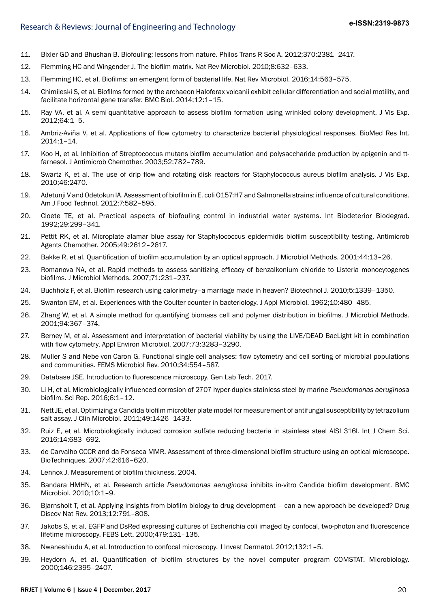- 11. Bixler GD and Bhushan B. Biofouling: lessons from nature. Philos Trans R Soc A. 2012;370:2381–2417.
- 12. Flemming HC and Wingender J. The biofilm matrix. Nat Rev Microbiol. 2010;8:632–633.
- 13. Flemming HC, et al. Biofilms: an emergent form of bacterial life. Nat Rev Microbiol. 2016;14:563–575.
- 14. Chimileski S, et al. Biofilms formed by the archaeon Haloferax volcanii exhibit cellular differentiation and social motility, and facilitate horizontal gene transfer. BMC Biol. 2014;12:1–15.
- 15. Ray VA, et al. A semi-quantitative approach to assess biofilm formation using wrinkled colony development. J Vis Exp. 2012;64:1–5.
- 16. Ambriz-Aviña V, et al. Applications of flow cytometry to characterize bacterial physiological responses. BioMed Res Int. 2014:1–14.
- 17. Koo H, et al. Inhibition of Streptococcus mutans biofilm accumulation and polysaccharide production by apigenin and ttfarnesol. J Antimicrob Chemother. 2003;52:782–789.
- 18. Swartz K, et al. The use of drip flow and rotating disk reactors for Staphylococcus aureus biofilm analysis. J Vis Exp. 2010;46:2470.
- 19. Adetunji V and Odetokun IA. Assessment of biofilm in E. coli O157:H7 and Salmonella strains: influence of cultural conditions. Am J Food Technol. 2012;7:582–595.
- 20. Cloete TE, et al. Practical aspects of biofouling control in industrial water systems. Int Biodeterior Biodegrad. 1992;29:299–341.
- 21. Pettit RK, et al. Microplate alamar blue assay for Staphylococcus epidermidis biofilm susceptibility testing. Antimicrob Agents Chemother. 2005;49:2612–2617.
- 22. Bakke R, et al. Quantification of biofilm accumulation by an optical approach. J Microbiol Methods. 2001;44:13–26.
- 23. Romanova NA, et al. Rapid methods to assess sanitizing efficacy of benzalkonium chloride to Listeria monocytogenes biofilms. J Microbiol Methods. 2007;71:231–237.
- 24. Buchholz F, et al. Biofilm research using calorimetry–a marriage made in heaven? Biotechnol J. 2010;5:1339–1350.
- 25. Swanton EM, et al. Experiences with the Coulter counter in bacteriology. J Appl Microbiol. 1962;10:480–485.
- 26. Zhang W, et al. A simple method for quantifying biomass cell and polymer distribution in biofilms. J Microbiol Methods. 2001;94:367–374.
- 27. Berney M, et al. Assessment and interpretation of bacterial viability by using the LIVE/DEAD BacLight kit in combination with flow cytometry. Appl Environ Microbiol. 2007;73:3283–3290.
- 28. Muller S and Nebe-von-Caron G. Functional single-cell analyses: flow cytometry and cell sorting of microbial populations and communities. FEMS Microbiol Rev. 2010;34:554–587.
- 29. Database JSE. Introduction to fluorescence microscopy. Gen Lab Tech. 2017.
- 30. Li H, et al. Microbiologically influenced corrosion of 2707 hyper-duplex stainless steel by marine *Pseudomonas aeruginosa* biofilm. Sci Rep. 2016;6:1–12.
- 31. Nett JE, et al. Optimizing a Candida biofilm microtiter plate model for measurement of antifungal susceptibility by tetrazolium salt assay. J Clin Microbiol. 2011;49:1426–1433.
- 32. Ruiz E, et al. Microbiologically induced corrosion sulfate reducing bacteria in stainless steel AISI 316l. Int J Chem Sci. 2016;14:683–692.
- 33. de Carvalho CCCR and da Fonseca MMR. Assessment of three-dimensional biofilm structure using an optical microscope. BioTechniques. 2007;42:616–620.
- 34. Lennox J. Measurement of biofilm thickness. 2004.
- 35. Bandara HMHN, et al. Research article *Pseudomonas aeruginosa* inhibits in-vitro Candida biofilm development. BMC Microbiol. 2010;10:1–9.
- 36. Bjarnsholt T, et al. Applying insights from biofilm biology to drug development can a new approach be developed? Drug Discov Nat Rev. 2013;12:791–808.
- 37. Jakobs S, et al. EGFP and DsRed expressing cultures of Escherichia coli imaged by confocal, two-photon and fluorescence lifetime microscopy. FEBS Lett. 2000;479:131–135.
- 38. Nwaneshiudu A, et al. Introduction to confocal microscopy. J Invest Dermatol. 2012;132:1–5.
- 39. Heydorn A, et al. Quantification of biofilm structures by the novel computer program COMSTAT. Microbiology. 2000;146:2395–2407.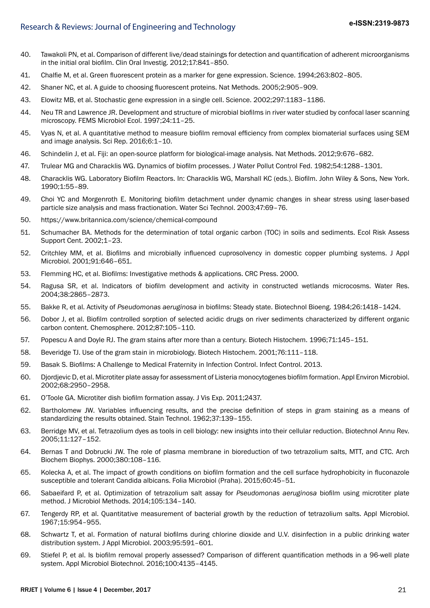- 40. Tawakoli PN, et al. Comparison of different live/dead stainings for detection and quantification of adherent microorganisms in the initial oral biofilm. Clin Oral Investig. 2012;17:841–850.
- 41. Chalfie M, et al. Green fluorescent protein as a marker for gene expression. Science. 1994;263:802–805.
- 42. Shaner NC, et al. A guide to choosing fluorescent proteins. Nat Methods. 2005;2:905–909.
- 43. Elowitz MB, et al. Stochastic gene expression in a single cell. Science. 2002;297:1183–1186.
- 44. Neu TR and Lawrence JR. Development and structure of microbial biofilms in river water studied by confocal laser scanning microscopy. FEMS Microbiol Ecol. 1997;24:11–25.
- 45. Vyas N, et al. A quantitative method to measure biofilm removal efficiency from complex biomaterial surfaces using SEM and image analysis. Sci Rep. 2016;6:1–10.
- 46. Schindelin J, et al. Fiji: an open-source platform for biological-image analysis. Nat Methods. 2012;9:676–682.
- 47. Trulear MG and Characklis WG. Dynamics of biofilm processes. J Water Pollut Control Fed. 1982;54:1288–1301.
- 48. Characklis WG. Laboratory Biofilm Reactors. In: Characklis WG, Marshall KC (eds.). Biofilm. John Wiley & Sons, New York. 1990;1:55–89.
- 49. Choi YC and Morgenroth E. Monitoring biofilm detachment under dynamic changes in shear stress using laser-based particle size analysis and mass fractionation. Water Sci Technol. 2003;47:69–76.
- 50. https://www.britannica.com/science/chemical-compound
- 51. Schumacher BA. Methods for the determination of total organic carbon (TOC) in soils and sediments. Ecol Risk Assess Support Cent. 2002;1–23.
- 52. Critchley MM, et al. Biofilms and microbially influenced cuprosolvency in domestic copper plumbing systems. J Appl Microbiol. 2001;91:646–651.
- 53. Flemming HC, et al. Biofilms: Investigative methods & applications. CRC Press. 2000.
- 54. Ragusa SR, et al. Indicators of biofilm development and activity in constructed wetlands microcosms. Water Res. 2004;38:2865–2873.
- 55. Bakke R, et al. Activity of *Pseudomonas aeruginosa* in biofilms: Steady state. Biotechnol Bioeng. 1984;26:1418–1424.
- 56. Dobor J, et al. Biofilm controlled sorption of selected acidic drugs on river sediments characterized by different organic carbon content. Chemosphere. 2012;87:105–110.
- 57. Popescu A and Doyle RJ. The gram stains after more than a century. Biotech Histochem. 1996;71:145–151.
- 58. Beveridge TJ. Use of the gram stain in microbiology. Biotech Histochem. 2001;76:111–118.
- 59. Basak S. Biofilms: A Challenge to Medical Fraternity in Infection Control. Infect Control. 2013.
- 60. Djordjevic D, et al. Microtiter plate assay for assessment of Listeria monocytogenes biofilm formation. Appl Environ Microbiol. 2002;68:2950–2958.
- 61. O'Toole GA. Microtiter dish biofilm formation assay. J Vis Exp. 2011;2437.
- 62. Bartholomew JW. Variables influencing results, and the precise definition of steps in gram staining as a means of standardizing the results obtained. Stain Technol. 1962;37:139–155.
- 63. Berridge MV, et al. Tetrazolium dyes as tools in cell biology: new insights into their cellular reduction. Biotechnol Annu Rev. 2005;11:127–152.
- 64. Bernas T and Dobrucki JW. The role of plasma membrane in bioreduction of two tetrazolium salts, MTT, and CTC. Arch Biochem Biophys. 2000;380:108–116.
- 65. Kolecka A, et al. The impact of growth conditions on biofilm formation and the cell surface hydrophobicity in fluconazole susceptible and tolerant Candida albicans. Folia Microbiol (Praha). 2015;60:45–51.
- 66. Sabaeifard P, et al. Optimization of tetrazolium salt assay for *Pseudomonas aeruginosa* biofilm using microtiter plate method. J Microbiol Methods. 2014;105:134–140.
- 67. Tengerdy RP, et al. Quantitative measurement of bacterial growth by the reduction of tetrazolium salts. Appl Microbiol. 1967;15:954–955.
- 68. Schwartz T, et al. Formation of natural biofilms during chlorine dioxide and U.V. disinfection in a public drinking water distribution system. J Appl Microbiol. 2003;95:591–601.
- 69. Stiefel P, et al. Is biofilm removal properly assessed? Comparison of different quantification methods in a 96-well plate system. Appl Microbiol Biotechnol. 2016;100:4135–4145.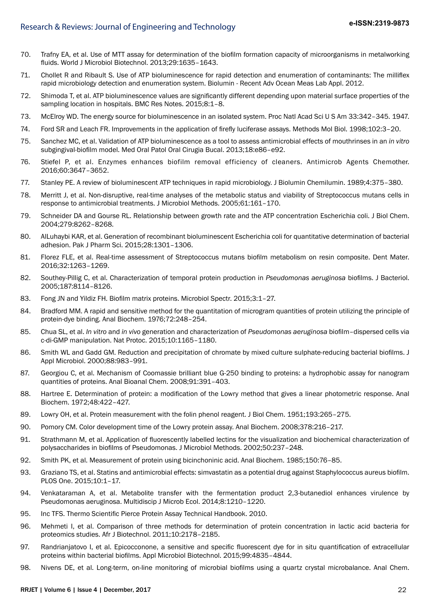- 70. Trafny EA, et al. Use of MTT assay for determination of the biofilm formation capacity of microorganisms in metalworking fluids. World J Microbiol Biotechnol. 2013;29:1635–1643.
- 71. Chollet R and Ribault S. Use of ATP bioluminescence for rapid detection and enumeration of contaminants: The milliflex rapid microbiology detection and enumeration system. Biolumin - Recent Adv Ocean Meas Lab Appl. 2012.
- 72. Shimoda T, et al. ATP bioluminescence values are significantly different depending upon material surface properties of the sampling location in hospitals. BMC Res Notes. 2015;8:1–8.
- 73. McElroy WD. The energy source for bioluminescence in an isolated system. Proc Natl Acad Sci U S Am 33:342–345. 1947.
- 74. Ford SR and Leach FR. Improvements in the application of firefly luciferase assays. Methods Mol Biol. 1998;102:3–20.
- 75. Sanchez MC, et al. Validation of ATP bioluminescence as a tool to assess antimicrobial effects of mouthrinses in an *in vitro* subgingival-biofilm model. Med Oral Patol Oral Cirugia Bucal. 2013;18:e86–e92.
- 76. Stiefel P, et al. Enzymes enhances biofilm removal efficiency of cleaners. Antimicrob Agents Chemother. 2016;60:3647–3652.
- 77. Stanley PE. A review of bioluminescent ATP techniques in rapid microbiology. J Biolumin Chemilumin. 1989;4:375–380.
- 78. Merritt J, et al. Non-disruptive, real-time analyses of the metabolic status and viability of Streptococcus mutans cells in response to antimicrobial treatments. J Microbiol Methods. 2005;61:161–170.
- 79. Schneider DA and Gourse RL. Relationship between growth rate and the ATP concentration Escherichia coli. J Biol Chem. 2004;279:8262–8268.
- 80. AlLuhaybi KAR, et al. Generation of recombinant bioluminescent Escherichia coli for quantitative determination of bacterial adhesion. Pak J Pharm Sci. 2015;28:1301–1306.
- 81. Florez FLE, et al. Real-time assessment of Streptococcus mutans biofilm metabolism on resin composite. Dent Mater. 2016;32:1263–1269.
- 82. Southey-Pillig C, et al. Characterization of temporal protein production in *Pseudomonas aeruginosa* biofilms. J Bacteriol. 2005;187:8114–8126.
- 83. Fong JN and Yildiz FH. Biofilm matrix proteins. Microbiol Spectr. 2015;3:1–27.
- 84. Bradford MM. A rapid and sensitive method for the quantitation of microgram quantities of protein utilizing the principle of protein-dye binding. Anal Biochem. 1976;72:248–254.
- 85. Chua SL, et al. *In vitro* and *in vivo* generation and characterization of *Pseudomonas aeruginosa* biofilm–dispersed cells via c-di-GMP manipulation. Nat Protoc. 2015;10:1165–1180.
- 86. Smith WL and Gadd GM. Reduction and precipitation of chromate by mixed culture sulphate-reducing bacterial biofilms. J Appl Microbiol. 2000;88:983–991.
- 87. Georgiou C, et al. Mechanism of Coomassie brilliant blue G-250 binding to proteins: a hydrophobic assay for nanogram quantities of proteins. Anal Bioanal Chem. 2008;91:391–403.
- 88. Hartree E. Determination of protein: a modification of the Lowry method that gives a linear photometric response. Anal Biochem. 1972;48:422–427.
- 89. Lowry OH, et al. Protein measurement with the folin phenol reagent. J Biol Chem. 1951;193:265–275.
- 90. Pomory CM. Color development time of the Lowry protein assay. Anal Biochem. 2008;378:216–217.
- 91. Strathmann M, et al. Application of fluorescently labelled lectins for the visualization and biochemical characterization of polysaccharides in biofilms of Pseudomonas. J Microbiol Methods. 2002;50:237–248.
- 92. Smith PK, et al. Measurement of protein using bicinchoninic acid. Anal Biochem. 1985;150:76–85.
- 93. Graziano TS, et al. Statins and antimicrobial effects: simvastatin as a potential drug against Staphylococcus aureus biofilm. PLOS One. 2015;10:1–17.
- 94. Venkataraman A, et al. Metabolite transfer with the fermentation product 2,3-butanediol enhances virulence by Pseudomonas aeruginosa. Multidiscip J Microb Ecol. 2014;8:1210–1220.
- 95. Inc TFS. Thermo Scientific Pierce Protein Assay Technical Handbook. 2010.
- 96. Mehmeti I, et al. Comparison of three methods for determination of protein concentration in lactic acid bacteria for proteomics studies. Afr J Biotechnol. 2011;10:2178–2185.
- 97. Randrianjatovo I, et al. Epicocconone, a sensitive and specific fluorescent dye for in situ quantification of extracellular proteins within bacterial biofilms. Appl Microbiol Biotechnol. 2015;99:4835–4844.
- 98. Nivens DE, et al. Long-term, on-line monitoring of microbial biofilms using a quartz crystal microbalance. Anal Chem.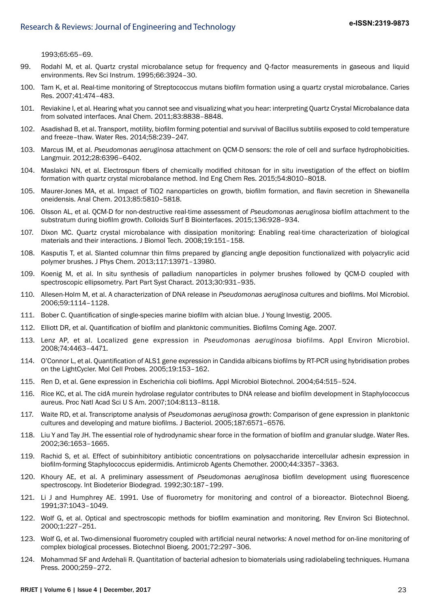1993;65:65–69.

- 99. Rodahl M, et al. Quartz crystal microbalance setup for frequency and Q-factor measurements in gaseous and liquid environments. Rev Sci Instrum. 1995;66:3924–30.
- 100. Tam K, et al. Real-time monitoring of Streptococcus mutans biofilm formation using a quartz crystal microbalance. Caries Res. 2007;41:474–483.
- 101. Reviakine I, et al. Hearing what you cannot see and visualizing what you hear: interpreting Quartz Crystal Microbalance data from solvated interfaces. Anal Chem. 2011;83:8838–8848.
- 102. Asadishad B, et al. Transport, motility, biofilm forming potential and survival of Bacillus subtilis exposed to cold temperature and freeze–thaw. Water Res. 2014;58:239–247.
- 103. Marcus IM, et al. *Pseudomonas aeruginosa* attachment on QCM-D sensors: the role of cell and surface hydrophobicities. Langmuir. 2012;28:6396–6402.
- 104. Maslakci NN, et al. Electrospun fibers of chemically modified chitosan for in situ investigation of the effect on biofilm formation with quartz crystal microbalance method. Ind Eng Chem Res. 2015;54:8010–8018.
- 105. Maurer-Jones MA, et al. Impact of TiO2 nanoparticles on growth, biofilm formation, and flavin secretion in Shewanella oneidensis. Anal Chem. 2013;85:5810–5818.
- 106. Olsson AL, et al. QCM-D for non-destructive real-time assessment of *Pseudomonas aeruginosa* biofilm attachment to the substratum during biofilm growth. Colloids Surf B Biointerfaces. 2015;136:928–934.
- 107. Dixon MC. Quartz crystal microbalance with dissipation monitoring: Enabling real-time characterization of biological materials and their interactions. J Biomol Tech. 2008;19:151–158.
- 108. Kasputis T, et al. Slanted columnar thin films prepared by glancing angle deposition functionalized with polyacrylic acid polymer brushes. J Phys Chem. 2013;117:13971–13980.
- 109. Koenig M, et al. In situ synthesis of palladium nanoparticles in polymer brushes followed by QCM-D coupled with spectroscopic ellipsometry. Part Part Syst Charact. 2013;30:931–935.
- 110. Allesen-Holm M, et al. A characterization of DNA release in *Pseudomonas aeruginosa* cultures and biofilms. Mol Microbiol. 2006;59:1114–1128.
- 111. Bober C. Quantification of single-species marine biofilm with alcian blue. J Young Investig. 2005.
- 112. Elliott DR, et al. Quantification of biofilm and planktonic communities. Biofilms Coming Age. 2007.
- 113. Lenz AP, et al. Localized gene expression in *Pseudomonas aeruginosa* biofilms. Appl Environ Microbiol. 2008;74:4463–4471.
- 114. O'Connor L, et al. Quantification of ALS1 gene expression in Candida albicans biofilms by RT-PCR using hybridisation probes on the LightCycler. Mol Cell Probes. 2005;19:153–162.
- 115. Ren D, et al. Gene expression in Escherichia coli biofilms. Appl Microbiol Biotechnol. 2004;64:515–524.
- 116. Rice KC, et al. The cidA murein hydrolase regulator contributes to DNA release and biofilm development in Staphylococcus aureus. Proc Natl Acad Sci U S Am. 2007;104:8113–8118.
- 117. Waite RD, et al. Transcriptome analysis of *Pseudomonas aeruginosa* growth: Comparison of gene expression in planktonic cultures and developing and mature biofilms. J Bacteriol. 2005;187:6571–6576.
- 118. Liu Y and Tay JH. The essential role of hydrodynamic shear force in the formation of biofilm and granular sludge. Water Res. 2002;36:1653–1665.
- 119. Rachid S, et al. Effect of subinhibitory antibiotic concentrations on polysaccharide intercellular adhesin expression in biofilm-forming Staphylococcus epidermidis. Antimicrob Agents Chemother. 2000;44:3357–3363.
- 120. Khoury AE, et al. A preliminary assessment of *Pseudomonas aeruginosa* biofilm development using fluorescence spectroscopy. Int Biodeterior Biodegrad. 1992;30:187–199.
- 121. Li J and Humphrey AE. 1991. Use of fluorometry for monitoring and control of a bioreactor. Biotechnol Bioeng. 1991;37:1043–1049.
- 122. Wolf G, et al. Optical and spectroscopic methods for biofilm examination and monitoring. Rev Environ Sci Biotechnol. 2000;1:227–251.
- 123. Wolf G, et al. Two-dimensional fluorometry coupled with artificial neural networks: A novel method for on-line monitoring of complex biological processes. Biotechnol Bioeng. 2001;72:297–306.
- 124. Mohammad SF and Ardehali R. Quantitation of bacterial adhesion to biomaterials using radiolabeling techniques. Humana Press. 2000;259–272.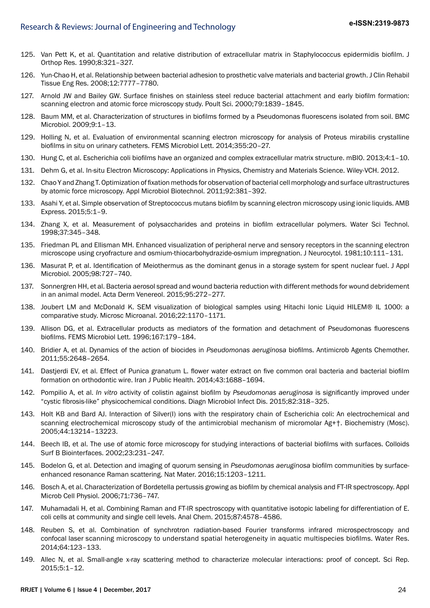- 125. Van Pett K, et al. Quantitation and relative distribution of extracellular matrix in Staphylococcus epidermidis biofilm. J Orthop Res. 1990;8:321–327.
- 126. Yun-Chao H, et al. Relationship between bacterial adhesion to prosthetic valve materials and bacterial growth. J Clin Rehabil Tissue Eng Res. 2008;12:7777–7780.
- 127. Arnold JW and Bailey GW. Surface finishes on stainless steel reduce bacterial attachment and early biofilm formation: scanning electron and atomic force microscopy study. Poult Sci. 2000;79:1839–1845.
- 128. Baum MM, et al. Characterization of structures in biofilms formed by a Pseudomonas fluorescens isolated from soil. BMC Microbiol. 2009;9:1–13.
- 129. Holling N, et al. Evaluation of environmental scanning electron microscopy for analysis of Proteus mirabilis crystalline biofilms in situ on urinary catheters. FEMS Microbiol Lett. 2014;355:20–27.
- 130. Hung C, et al. Escherichia coli biofilms have an organized and complex extracellular matrix structure. mBIO. 2013;4:1–10.
- 131. Dehm G, et al. In-situ Electron Microscopy: Applications in Physics, Chemistry and Materials Science. Wiley-VCH. 2012.
- 132. Chao Y and Zhang T. Optimization of fixation methods for observation of bacterial cell morphology and surface ultrastructures by atomic force microscopy. Appl Microbiol Biotechnol. 2011;92:381–392.
- 133. Asahi Y, et al. Simple observation of Streptococcus mutans biofilm by scanning electron microscopy using ionic liquids. AMB Express. 2015;5:1–9.
- 134. Zhang X, et al. Measurement of polysaccharides and proteins in biofilm extracellular polymers. Water Sci Technol. 1998;37:345–348.
- 135. Friedman PL and Ellisman MH. Enhanced visualization of peripheral nerve and sensory receptors in the scanning electron microscope using cryofracture and osmium-thiocarbohydrazide-osmium impregnation. J Neurocytol. 1981;10:111–131.
- 136. Masurat P, et al. Identification of Meiothermus as the dominant genus in a storage system for spent nuclear fuel. J Appl Microbiol. 2005;98:727–740.
- 137. Sonnergren HH, et al. Bacteria aerosol spread and wound bacteria reduction with different methods for wound debridement in an animal model. Acta Derm Venereol. 2015;95:272–277.
- 138. Joubert LM and McDonald K. SEM visualization of biological samples using Hitachi Ionic Liquid HILEM® IL 1000: a comparative study. Microsc Microanal. 2016;22:1170–1171.
- 139. Allison DG, et al. Extracellular products as mediators of the formation and detachment of Pseudomonas fluorescens biofilms. FEMS Microbiol Lett. 1996;167:179-184.
- 140. Bridier A, et al. Dynamics of the action of biocides in *Pseudomonas aeruginosa* biofilms. Antimicrob Agents Chemother. 2011;55:2648–2654.
- 141. Dastjerdi EV, et al. Effect of Punica granatum L. flower water extract on five common oral bacteria and bacterial biofilm formation on orthodontic wire. Iran J Public Health. 2014;43:1688–1694.
- 142. Pompilio A, et al. *In vitro* activity of colistin against biofilm by *Pseudomonas aeruginosa* is significantly improved under "cystic fibrosis-like" physicochemical conditions. Diagn Microbiol Infect Dis. 2015;82:318–325.
- 143. Holt KB and Bard AJ. Interaction of Silver(I) ions with the respiratory chain of Escherichia coli: An electrochemical and scanning electrochemical microscopy study of the antimicrobial mechanism of micromolar Ag+†. Biochemistry (Mosc). 2005;44:13214–13223.
- 144. Beech IB, et al. The use of atomic force microscopy for studying interactions of bacterial biofilms with surfaces. Colloids Surf B Biointerfaces. 2002;23:231–247.
- 145. Bodelon G, et al. Detection and imaging of quorum sensing in *Pseudomonas aeruginosa* biofilm communities by surfaceenhanced resonance Raman scattering. Nat Mater. 2016;15:1203–1211.
- 146. Bosch A, et al. Characterization of Bordetella pertussis growing as biofilm by chemical analysis and FT-IR spectroscopy. Appl Microb Cell Physiol. 2006;71:736–747.
- 147. Muhamadali H, et al. Combining Raman and FT-IR spectroscopy with quantitative isotopic labeling for differentiation of E. coli cells at community and single cell levels. Anal Chem. 2015;87:4578–4586.
- 148. Reuben S, et al. Combination of synchrotron radiation-based Fourier transforms infrared microspectroscopy and confocal laser scanning microscopy to understand spatial heterogeneity in aquatic multispecies biofilms. Water Res. 2014;64:123–133.
- 149. Allec N, et al. Small-angle x-ray scattering method to characterize molecular interactions: proof of concept. Sci Rep. 2015;5:1–12.